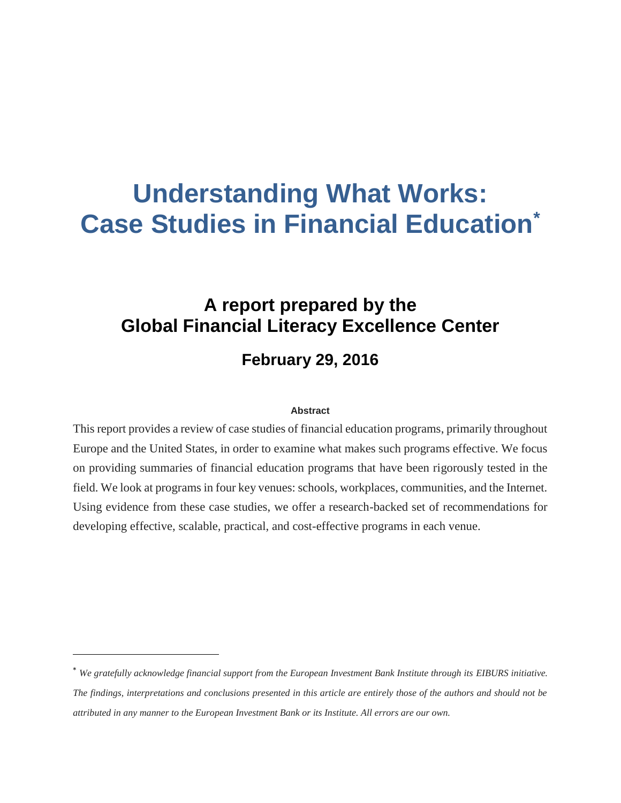# **Understanding What Works: Case Studies in Financial Education\***

# **A report prepared by the Global Financial Literacy Excellence Center**

# **February 29, 2016**

#### **Abstract**

This report provides a review of case studies of financial education programs, primarily throughout Europe and the United States, in order to examine what makes such programs effective. We focus on providing summaries of financial education programs that have been rigorously tested in the field. We look at programs in four key venues: schools, workplaces, communities, and the Internet. Using evidence from these case studies, we offer a research-backed set of recommendations for developing effective, scalable, practical, and cost-effective programs in each venue.

 $\overline{a}$ 

<sup>\*</sup> *We gratefully acknowledge financial support from the European Investment Bank Institute through its EIBURS initiative. The findings, interpretations and conclusions presented in this article are entirely those of the authors and should not be attributed in any manner to the European Investment Bank or its Institute. All errors are our own.*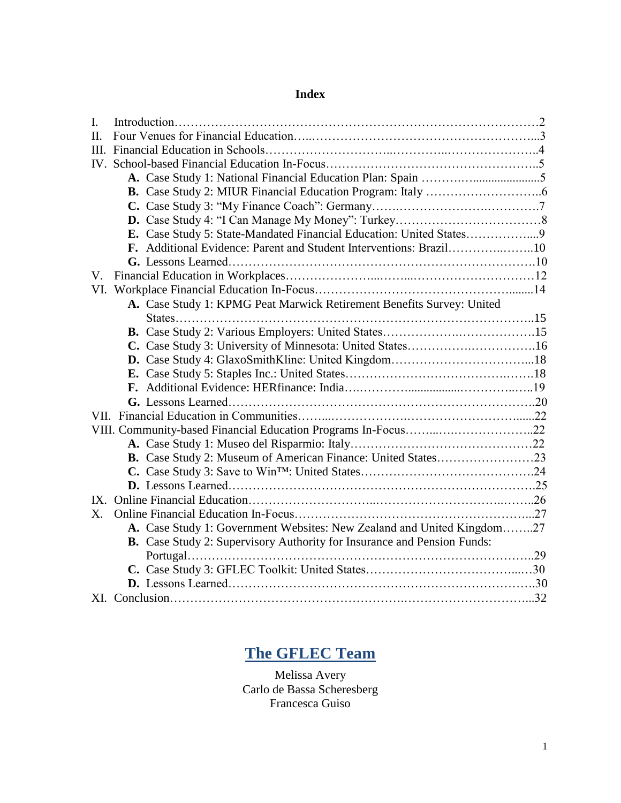# **Index**

| L.          |                                                                                |  |
|-------------|--------------------------------------------------------------------------------|--|
| II.         |                                                                                |  |
|             |                                                                                |  |
|             |                                                                                |  |
|             |                                                                                |  |
|             |                                                                                |  |
|             |                                                                                |  |
|             |                                                                                |  |
|             | E. Case Study 5: State-Mandated Financial Education: United States9            |  |
|             | F. Additional Evidence: Parent and Student Interventions: Brazil10             |  |
|             |                                                                                |  |
| V.          |                                                                                |  |
|             |                                                                                |  |
|             | A. Case Study 1: KPMG Peat Marwick Retirement Benefits Survey: United          |  |
|             |                                                                                |  |
|             |                                                                                |  |
|             | C. Case Study 3: University of Minnesota: United States16                      |  |
|             |                                                                                |  |
|             |                                                                                |  |
|             |                                                                                |  |
|             |                                                                                |  |
|             |                                                                                |  |
|             |                                                                                |  |
|             |                                                                                |  |
|             |                                                                                |  |
|             |                                                                                |  |
|             |                                                                                |  |
|             |                                                                                |  |
| $X_{\cdot}$ |                                                                                |  |
|             | A. Case Study 1: Government Websites: New Zealand and United Kingdom27         |  |
|             | <b>B.</b> Case Study 2: Supervisory Authority for Insurance and Pension Funds: |  |
|             |                                                                                |  |
|             |                                                                                |  |
|             |                                                                                |  |
|             |                                                                                |  |

# **The GFLEC Team**

Melissa Avery Carlo de Bassa Scheresberg Francesca Guiso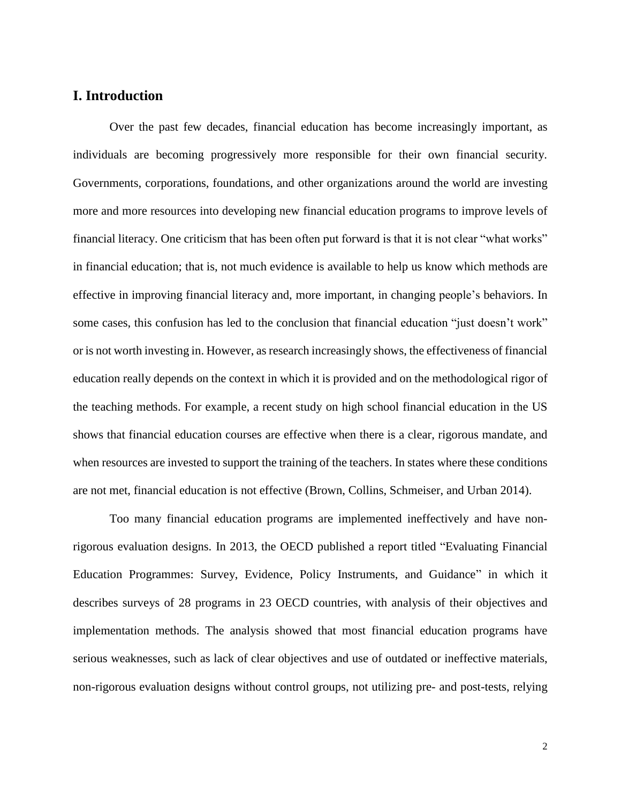# **I. Introduction**

Over the past few decades, financial education has become increasingly important, as individuals are becoming progressively more responsible for their own financial security. Governments, corporations, foundations, and other organizations around the world are investing more and more resources into developing new financial education programs to improve levels of financial literacy. One criticism that has been often put forward is that it is not clear "what works" in financial education; that is, not much evidence is available to help us know which methods are effective in improving financial literacy and, more important, in changing people's behaviors. In some cases, this confusion has led to the conclusion that financial education "just doesn't work" or is not worth investing in. However, as research increasingly shows, the effectiveness of financial education really depends on the context in which it is provided and on the methodological rigor of the teaching methods. For example, a recent study on high school financial education in the US shows that financial education courses are effective when there is a clear, rigorous mandate, and when resources are invested to support the training of the teachers. In states where these conditions are not met, financial education is not effective (Brown, Collins, Schmeiser, and Urban 2014).

Too many financial education programs are implemented ineffectively and have nonrigorous evaluation designs. In 2013, the OECD published a report titled "Evaluating Financial Education Programmes: Survey, Evidence, Policy Instruments, and Guidance" in which it describes surveys of 28 programs in 23 OECD countries, with analysis of their objectives and implementation methods. The analysis showed that most financial education programs have serious weaknesses, such as lack of clear objectives and use of outdated or ineffective materials, non-rigorous evaluation designs without control groups, not utilizing pre- and post-tests, relying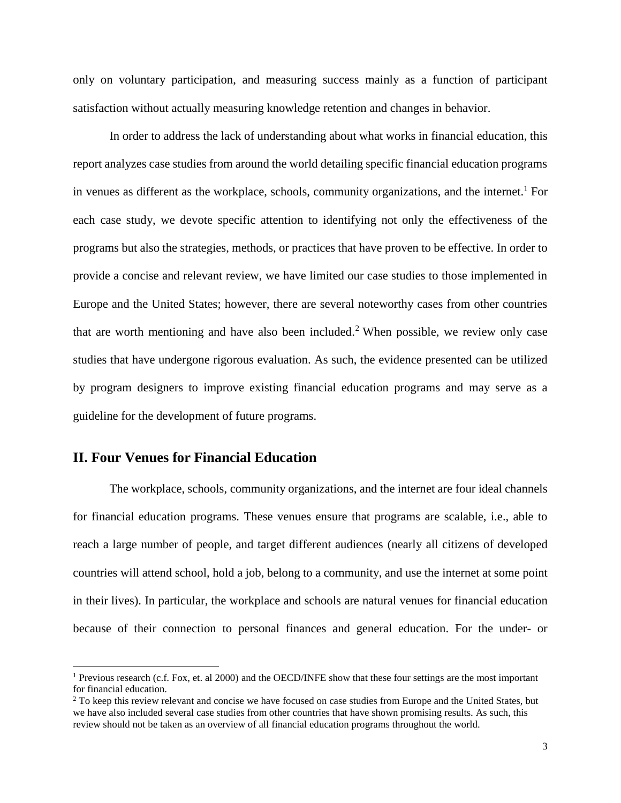only on voluntary participation, and measuring success mainly as a function of participant satisfaction without actually measuring knowledge retention and changes in behavior.

In order to address the lack of understanding about what works in financial education, this report analyzes case studies from around the world detailing specific financial education programs in venues as different as the workplace, schools, community organizations, and the internet.<sup>1</sup> For each case study, we devote specific attention to identifying not only the effectiveness of the programs but also the strategies, methods, or practices that have proven to be effective. In order to provide a concise and relevant review, we have limited our case studies to those implemented in Europe and the United States; however, there are several noteworthy cases from other countries that are worth mentioning and have also been included. <sup>2</sup> When possible, we review only case studies that have undergone rigorous evaluation. As such, the evidence presented can be utilized by program designers to improve existing financial education programs and may serve as a guideline for the development of future programs.

# **II. Four Venues for Financial Education**

 $\overline{a}$ 

The workplace, schools, community organizations, and the internet are four ideal channels for financial education programs. These venues ensure that programs are scalable, i.e., able to reach a large number of people, and target different audiences (nearly all citizens of developed countries will attend school, hold a job, belong to a community, and use the internet at some point in their lives). In particular, the workplace and schools are natural venues for financial education because of their connection to personal finances and general education. For the under- or

<sup>&</sup>lt;sup>1</sup> Previous research (c.f. Fox, et. al 2000) and the OECD/INFE show that these four settings are the most important for financial education.

<sup>&</sup>lt;sup>2</sup> To keep this review relevant and concise we have focused on case studies from Europe and the United States, but we have also included several case studies from other countries that have shown promising results. As such, this review should not be taken as an overview of all financial education programs throughout the world.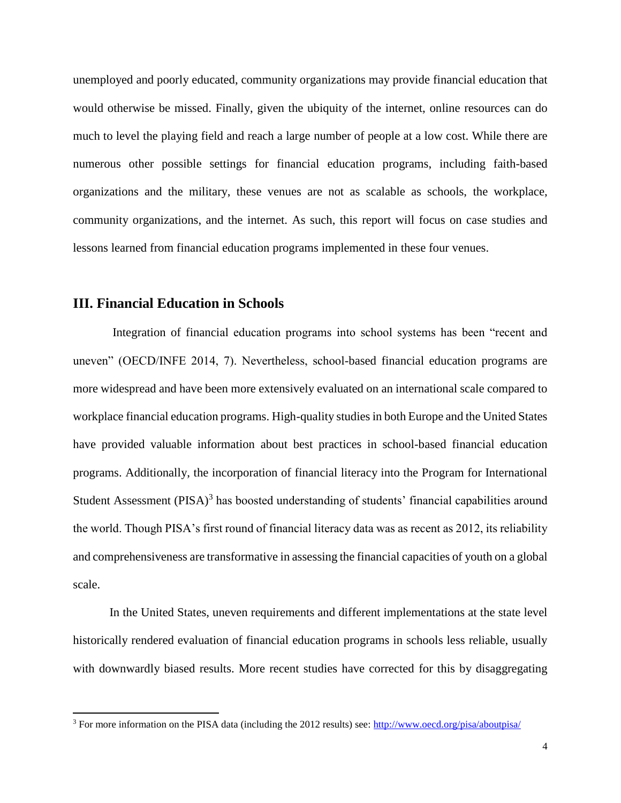unemployed and poorly educated, community organizations may provide financial education that would otherwise be missed. Finally, given the ubiquity of the internet, online resources can do much to level the playing field and reach a large number of people at a low cost. While there are numerous other possible settings for financial education programs, including faith-based organizations and the military, these venues are not as scalable as schools, the workplace, community organizations, and the internet. As such, this report will focus on case studies and lessons learned from financial education programs implemented in these four venues.

#### **III. Financial Education in Schools**

 $\overline{a}$ 

Integration of financial education programs into school systems has been "recent and uneven" (OECD/INFE 2014, 7). Nevertheless, school-based financial education programs are more widespread and have been more extensively evaluated on an international scale compared to workplace financial education programs. High-quality studies in both Europe and the United States have provided valuable information about best practices in school-based financial education programs. Additionally, the incorporation of financial literacy into the Program for International Student Assessment (PISA)<sup>3</sup> has boosted understanding of students' financial capabilities around the world. Though PISA's first round of financial literacy data was as recent as 2012, its reliability and comprehensiveness are transformative in assessing the financial capacities of youth on a global scale.

In the United States, uneven requirements and different implementations at the state level historically rendered evaluation of financial education programs in schools less reliable, usually with downwardly biased results. More recent studies have corrected for this by disaggregating

<sup>&</sup>lt;sup>3</sup> For more information on the PISA data (including the 2012 results) see:<http://www.oecd.org/pisa/aboutpisa/>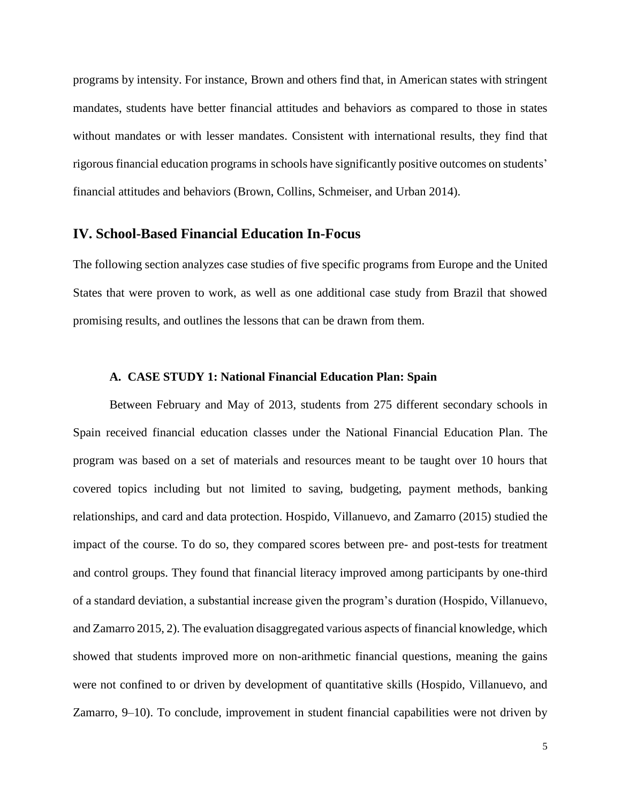programs by intensity. For instance, Brown and others find that, in American states with stringent mandates, students have better financial attitudes and behaviors as compared to those in states without mandates or with lesser mandates. Consistent with international results, they find that rigorous financial education programs in schools have significantly positive outcomes on students' financial attitudes and behaviors (Brown, Collins, Schmeiser, and Urban 2014).

## **IV. School-Based Financial Education In-Focus**

The following section analyzes case studies of five specific programs from Europe and the United States that were proven to work, as well as one additional case study from Brazil that showed promising results, and outlines the lessons that can be drawn from them.

#### **A. CASE STUDY 1: National Financial Education Plan: Spain**

Between February and May of 2013, students from 275 different secondary schools in Spain received financial education classes under the National Financial Education Plan. The program was based on a set of materials and resources meant to be taught over 10 hours that covered topics including but not limited to saving, budgeting, payment methods, banking relationships, and card and data protection. Hospido, Villanuevo, and Zamarro (2015) studied the impact of the course. To do so, they compared scores between pre- and post-tests for treatment and control groups. They found that financial literacy improved among participants by one-third of a standard deviation, a substantial increase given the program's duration (Hospido, Villanuevo, and Zamarro 2015, 2). The evaluation disaggregated various aspects of financial knowledge, which showed that students improved more on non-arithmetic financial questions, meaning the gains were not confined to or driven by development of quantitative skills (Hospido, Villanuevo, and Zamarro, 9–10). To conclude, improvement in student financial capabilities were not driven by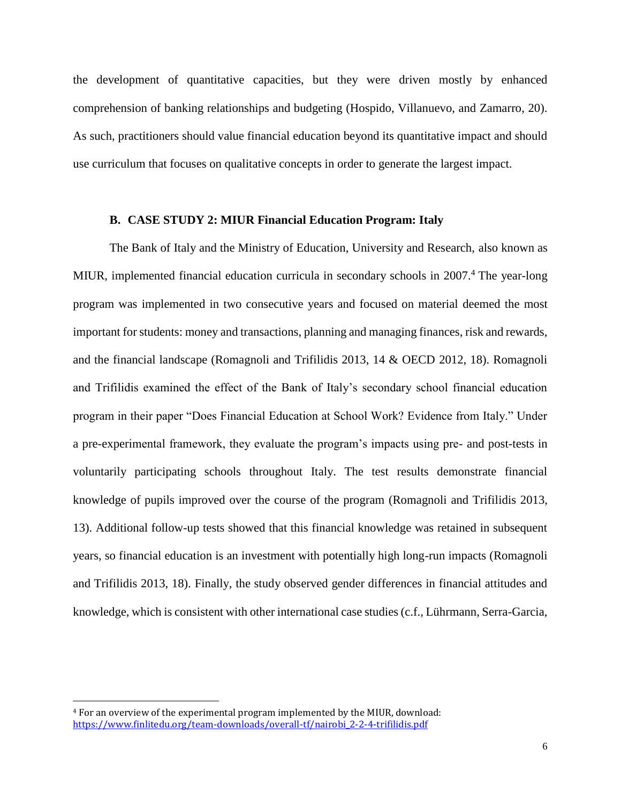the development of quantitative capacities, but they were driven mostly by enhanced comprehension of banking relationships and budgeting (Hospido, Villanuevo, and Zamarro, 20). As such, practitioners should value financial education beyond its quantitative impact and should use curriculum that focuses on qualitative concepts in order to generate the largest impact.

### **B. CASE STUDY 2: MIUR Financial Education Program: Italy**

The Bank of Italy and the Ministry of Education, University and Research, also known as MIUR, implemented financial education curricula in secondary schools in 2007.<sup>4</sup> The year-long program was implemented in two consecutive years and focused on material deemed the most important for students: money and transactions, planning and managing finances, risk and rewards, and the financial landscape (Romagnoli and Trifilidis 2013, 14 & OECD 2012, 18). Romagnoli and Trifilidis examined the effect of the Bank of Italy's secondary school financial education program in their paper "Does Financial Education at School Work? Evidence from Italy." Under a pre-experimental framework, they evaluate the program's impacts using pre- and post-tests in voluntarily participating schools throughout Italy. The test results demonstrate financial knowledge of pupils improved over the course of the program (Romagnoli and Trifilidis 2013, 13). Additional follow-up tests showed that this financial knowledge was retained in subsequent years, so financial education is an investment with potentially high long-run impacts (Romagnoli and Trifilidis 2013, 18). Finally, the study observed gender differences in financial attitudes and knowledge, which is consistent with other international case studies (c.f., Lührmann, Serra-Garcia,

 $\overline{a}$ 

<sup>4</sup> For an overview of the experimental program implemented by the MIUR, download: [https://www.finlitedu.org/team-downloads/overall-tf/nairobi\\_2-2-4-trifilidis.pdf](https://www.finlitedu.org/team-downloads/overall-tf/nairobi_2-2-4-trifilidis.pdf)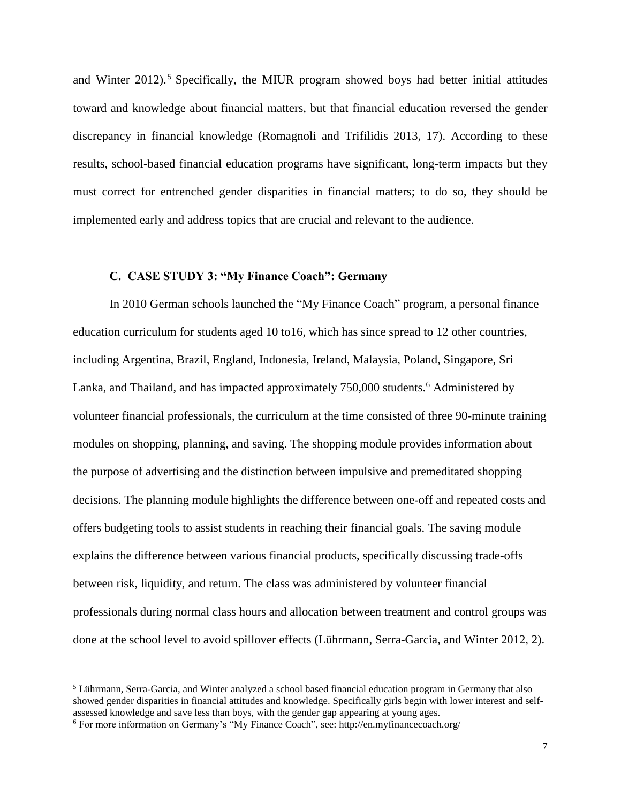and Winter 2012).<sup>5</sup> Specifically, the MIUR program showed boys had better initial attitudes toward and knowledge about financial matters, but that financial education reversed the gender discrepancy in financial knowledge (Romagnoli and Trifilidis 2013, 17). According to these results, school-based financial education programs have significant, long-term impacts but they must correct for entrenched gender disparities in financial matters; to do so, they should be implemented early and address topics that are crucial and relevant to the audience.

#### **C. CASE STUDY 3: "My Finance Coach": Germany**

In 2010 German schools launched the "My Finance Coach" program, a personal finance education curriculum for students aged 10 to16, which has since spread to 12 other countries, including Argentina, Brazil, England, Indonesia, Ireland, Malaysia, Poland, Singapore, Sri Lanka, and Thailand, and has impacted approximately 750,000 students.<sup>6</sup> Administered by volunteer financial professionals, the curriculum at the time consisted of three 90-minute training modules on shopping, planning, and saving. The shopping module provides information about the purpose of advertising and the distinction between impulsive and premeditated shopping decisions. The planning module highlights the difference between one-off and repeated costs and offers budgeting tools to assist students in reaching their financial goals. The saving module explains the difference between various financial products, specifically discussing trade-offs between risk, liquidity, and return. The class was administered by volunteer financial professionals during normal class hours and allocation between treatment and control groups was done at the school level to avoid spillover effects (Lührmann, Serra-Garcia, and Winter 2012, 2).

 $\overline{a}$ 

<sup>5</sup> Lührmann, Serra-Garcia, and Winter analyzed a school based financial education program in Germany that also showed gender disparities in financial attitudes and knowledge. Specifically girls begin with lower interest and selfassessed knowledge and save less than boys, with the gender gap appearing at young ages.

<sup>6</sup> For more information on Germany's "My Finance Coach", see: http://en.myfinancecoach.org/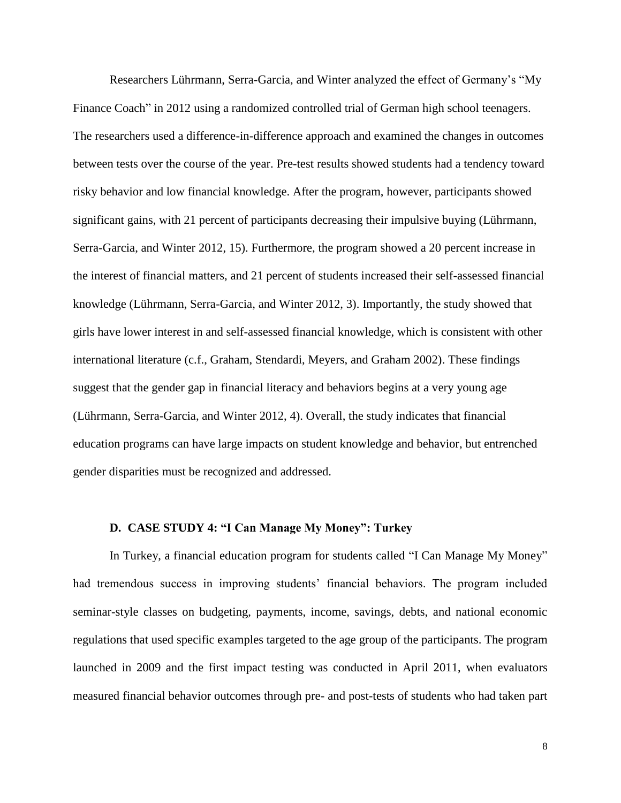Researchers Lührmann, Serra-Garcia, and Winter analyzed the effect of Germany's "My Finance Coach" in 2012 using a randomized controlled trial of German high school teenagers. The researchers used a difference-in-difference approach and examined the changes in outcomes between tests over the course of the year. Pre-test results showed students had a tendency toward risky behavior and low financial knowledge. After the program, however, participants showed significant gains, with 21 percent of participants decreasing their impulsive buying (Lührmann, Serra-Garcia, and Winter 2012, 15). Furthermore, the program showed a 20 percent increase in the interest of financial matters, and 21 percent of students increased their self-assessed financial knowledge (Lührmann, Serra-Garcia, and Winter 2012, 3). Importantly, the study showed that girls have lower interest in and self-assessed financial knowledge, which is consistent with other international literature (c.f., Graham, Stendardi, Meyers, and Graham 2002). These findings suggest that the gender gap in financial literacy and behaviors begins at a very young age (Lührmann, Serra-Garcia, and Winter 2012, 4). Overall, the study indicates that financial education programs can have large impacts on student knowledge and behavior, but entrenched gender disparities must be recognized and addressed.

#### **D. CASE STUDY 4: "I Can Manage My Money": Turkey**

In Turkey, a financial education program for students called "I Can Manage My Money" had tremendous success in improving students' financial behaviors. The program included seminar-style classes on budgeting, payments, income, savings, debts, and national economic regulations that used specific examples targeted to the age group of the participants. The program launched in 2009 and the first impact testing was conducted in April 2011, when evaluators measured financial behavior outcomes through pre- and post-tests of students who had taken part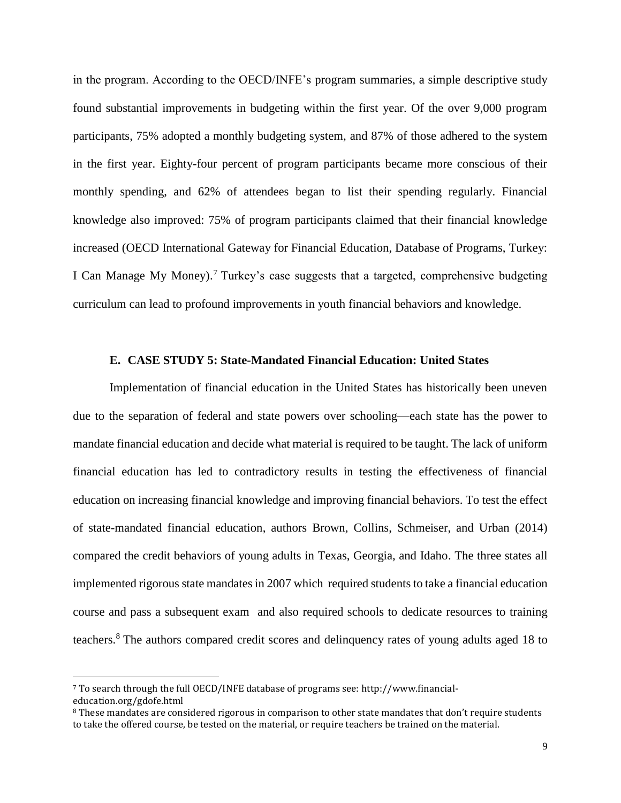in the program. According to the OECD/INFE's program summaries, a simple descriptive study found substantial improvements in budgeting within the first year. Of the over 9,000 program participants, 75% adopted a monthly budgeting system, and 87% of those adhered to the system in the first year. Eighty-four percent of program participants became more conscious of their monthly spending, and 62% of attendees began to list their spending regularly. Financial knowledge also improved: 75% of program participants claimed that their financial knowledge increased (OECD International Gateway for Financial Education, Database of Programs, Turkey: I Can Manage My Money).<sup>7</sup> Turkey's case suggests that a targeted, comprehensive budgeting curriculum can lead to profound improvements in youth financial behaviors and knowledge.

### **E. CASE STUDY 5: State-Mandated Financial Education: United States**

Implementation of financial education in the United States has historically been uneven due to the separation of federal and state powers over schooling—each state has the power to mandate financial education and decide what material is required to be taught. The lack of uniform financial education has led to contradictory results in testing the effectiveness of financial education on increasing financial knowledge and improving financial behaviors. To test the effect of state-mandated financial education, authors Brown, Collins, Schmeiser, and Urban (2014) compared the credit behaviors of young adults in Texas, Georgia, and Idaho. The three states all implemented rigorous state mandates in 2007 which required students to take a financial education course and pass a subsequent exam and also required schools to dedicate resources to training teachers.<sup>8</sup> The authors compared credit scores and delinquency rates of young adults aged 18 to

 $\overline{a}$ 

<sup>7</sup> To search through the full OECD/INFE database of programs see: http://www.financialeducation.org/gdofe.html

<sup>&</sup>lt;sup>8</sup> These mandates are considered rigorous in comparison to other state mandates that don't require students to take the offered course, be tested on the material, or require teachers be trained on the material.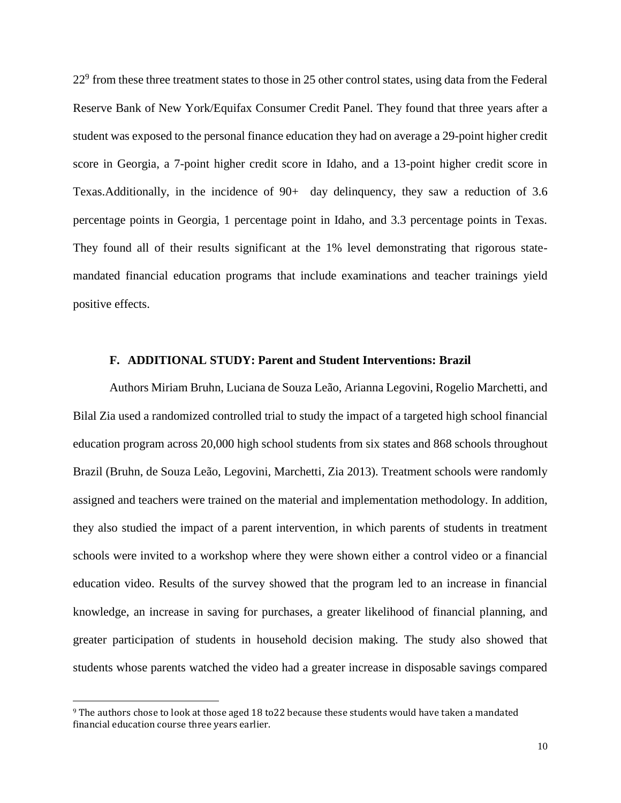22<sup>9</sup> from these three treatment states to those in 25 other control states, using data from the Federal Reserve Bank of New York/Equifax Consumer Credit Panel. They found that three years after a student was exposed to the personal finance education they had on average a 29-point higher credit score in Georgia, a 7-point higher credit score in Idaho, and a 13-point higher credit score in Texas.Additionally, in the incidence of 90+ day delinquency, they saw a reduction of 3.6 percentage points in Georgia, 1 percentage point in Idaho, and 3.3 percentage points in Texas. They found all of their results significant at the 1% level demonstrating that rigorous statemandated financial education programs that include examinations and teacher trainings yield positive effects.

#### **F. ADDITIONAL STUDY: Parent and Student Interventions: Brazil**

Authors Miriam Bruhn, Luciana de Souza Leão, Arianna Legovini, Rogelio Marchetti, and Bilal Zia used a randomized controlled trial to study the impact of a targeted high school financial education program across 20,000 high school students from six states and 868 schools throughout Brazil (Bruhn, de Souza Leão, Legovini, Marchetti, Zia 2013). Treatment schools were randomly assigned and teachers were trained on the material and implementation methodology. In addition, they also studied the impact of a parent intervention, in which parents of students in treatment schools were invited to a workshop where they were shown either a control video or a financial education video. Results of the survey showed that the program led to an increase in financial knowledge, an increase in saving for purchases, a greater likelihood of financial planning, and greater participation of students in household decision making. The study also showed that students whose parents watched the video had a greater increase in disposable savings compared

 $\overline{a}$ 

<sup>9</sup> The authors chose to look at those aged 18 to22 because these students would have taken a mandated financial education course three years earlier.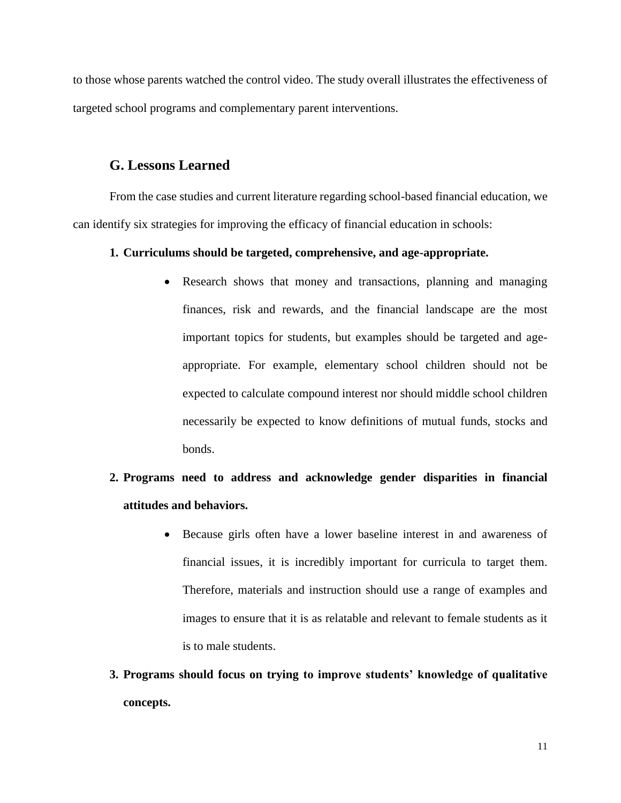to those whose parents watched the control video. The study overall illustrates the effectiveness of targeted school programs and complementary parent interventions.

# **G. Lessons Learned**

From the case studies and current literature regarding school-based financial education, we can identify six strategies for improving the efficacy of financial education in schools:

#### **1. Curriculums should be targeted, comprehensive, and age-appropriate.**

• Research shows that money and transactions, planning and managing finances, risk and rewards, and the financial landscape are the most important topics for students, but examples should be targeted and ageappropriate. For example, elementary school children should not be expected to calculate compound interest nor should middle school children necessarily be expected to know definitions of mutual funds, stocks and bonds.

# **2. Programs need to address and acknowledge gender disparities in financial attitudes and behaviors.**

- Because girls often have a lower baseline interest in and awareness of financial issues, it is incredibly important for curricula to target them. Therefore, materials and instruction should use a range of examples and images to ensure that it is as relatable and relevant to female students as it is to male students.
- **3. Programs should focus on trying to improve students' knowledge of qualitative concepts.**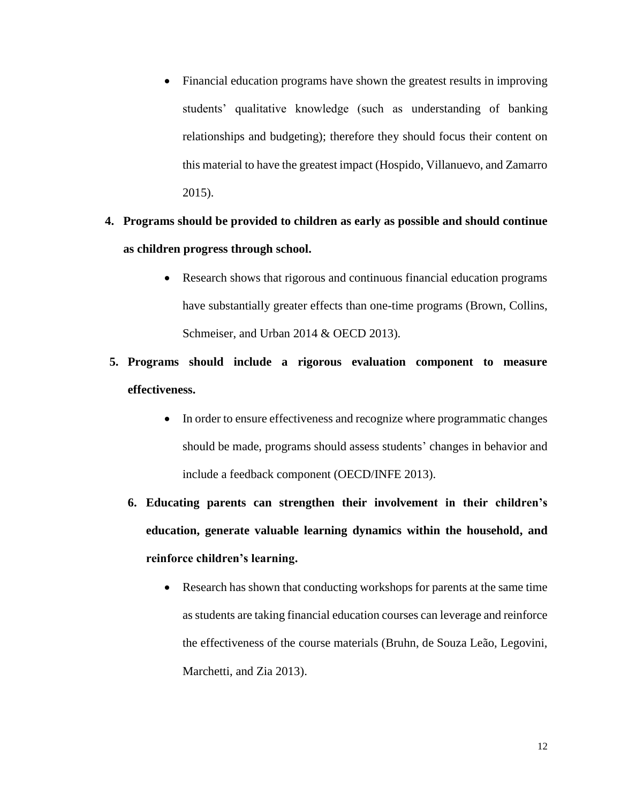- Financial education programs have shown the greatest results in improving students' qualitative knowledge (such as understanding of banking relationships and budgeting); therefore they should focus their content on this material to have the greatest impact (Hospido, Villanuevo, and Zamarro 2015).
- **4. Programs should be provided to children as early as possible and should continue as children progress through school.**
	- Research shows that rigorous and continuous financial education programs have substantially greater effects than one-time programs (Brown, Collins, Schmeiser, and Urban 2014 & OECD 2013).
- **5. Programs should include a rigorous evaluation component to measure effectiveness.**
	- In order to ensure effectiveness and recognize where programmatic changes should be made, programs should assess students' changes in behavior and include a feedback component (OECD/INFE 2013).
	- **6. Educating parents can strengthen their involvement in their children's education, generate valuable learning dynamics within the household, and reinforce children's learning.**
		- Research has shown that conducting workshops for parents at the same time as students are taking financial education courses can leverage and reinforce the effectiveness of the course materials (Bruhn, de Souza Leão, Legovini, Marchetti, and Zia 2013).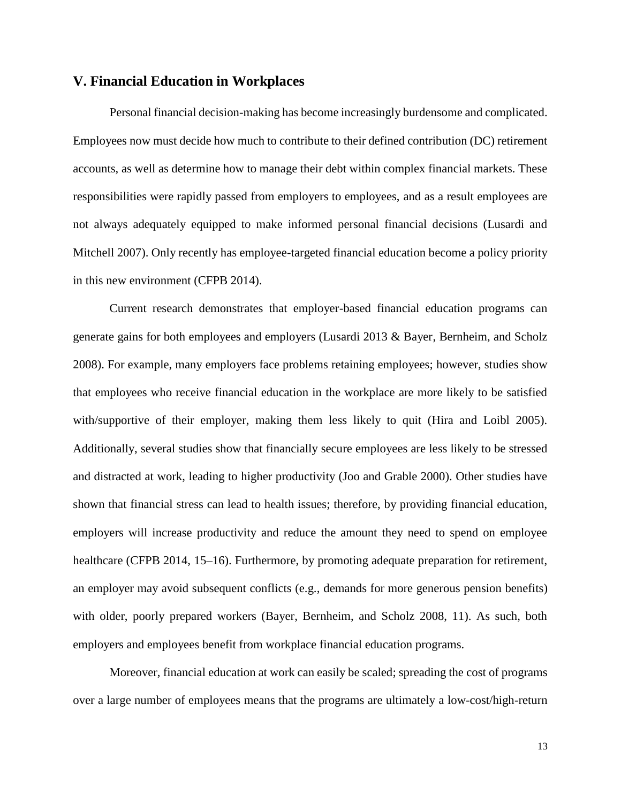# **V. Financial Education in Workplaces**

Personal financial decision-making has become increasingly burdensome and complicated. Employees now must decide how much to contribute to their defined contribution (DC) retirement accounts, as well as determine how to manage their debt within complex financial markets. These responsibilities were rapidly passed from employers to employees, and as a result employees are not always adequately equipped to make informed personal financial decisions (Lusardi and Mitchell 2007). Only recently has employee-targeted financial education become a policy priority in this new environment (CFPB 2014).

Current research demonstrates that employer-based financial education programs can generate gains for both employees and employers (Lusardi 2013 & Bayer, Bernheim, and Scholz 2008). For example, many employers face problems retaining employees; however, studies show that employees who receive financial education in the workplace are more likely to be satisfied with/supportive of their employer, making them less likely to quit (Hira and Loibl 2005). Additionally, several studies show that financially secure employees are less likely to be stressed and distracted at work, leading to higher productivity (Joo and Grable 2000). Other studies have shown that financial stress can lead to health issues; therefore, by providing financial education, employers will increase productivity and reduce the amount they need to spend on employee healthcare (CFPB 2014, 15–16). Furthermore, by promoting adequate preparation for retirement, an employer may avoid subsequent conflicts (e.g., demands for more generous pension benefits) with older, poorly prepared workers (Bayer, Bernheim, and Scholz 2008, 11). As such, both employers and employees benefit from workplace financial education programs.

Moreover, financial education at work can easily be scaled; spreading the cost of programs over a large number of employees means that the programs are ultimately a low-cost/high-return

13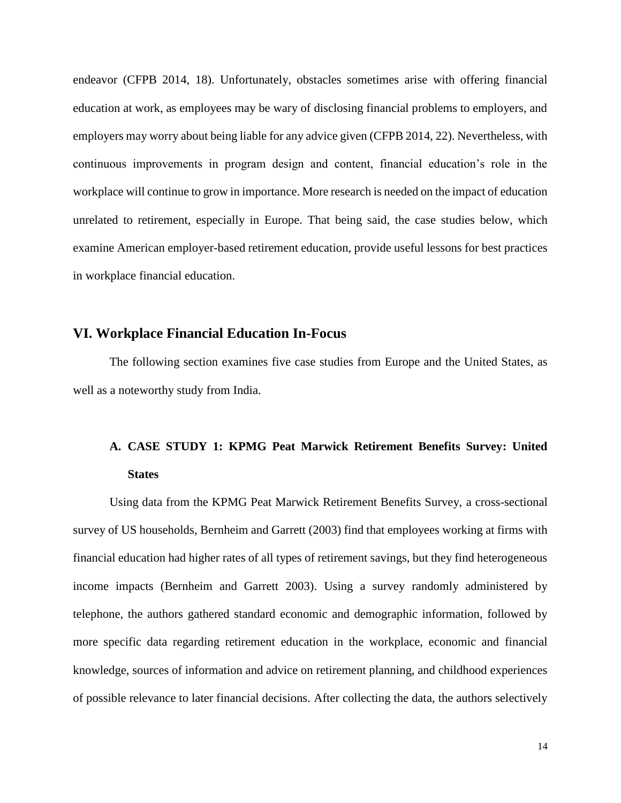endeavor (CFPB 2014, 18). Unfortunately, obstacles sometimes arise with offering financial education at work, as employees may be wary of disclosing financial problems to employers, and employers may worry about being liable for any advice given (CFPB 2014, 22). Nevertheless, with continuous improvements in program design and content, financial education's role in the workplace will continue to grow in importance. More research is needed on the impact of education unrelated to retirement, especially in Europe. That being said, the case studies below, which examine American employer-based retirement education, provide useful lessons for best practices in workplace financial education.

## **VI. Workplace Financial Education In-Focus**

The following section examines five case studies from Europe and the United States, as well as a noteworthy study from India.

# **A. CASE STUDY 1: KPMG Peat Marwick Retirement Benefits Survey: United States**

Using data from the KPMG Peat Marwick Retirement Benefits Survey, a cross-sectional survey of US households, Bernheim and Garrett (2003) find that employees working at firms with financial education had higher rates of all types of retirement savings, but they find heterogeneous income impacts (Bernheim and Garrett 2003). Using a survey randomly administered by telephone, the authors gathered standard economic and demographic information, followed by more specific data regarding retirement education in the workplace, economic and financial knowledge, sources of information and advice on retirement planning, and childhood experiences of possible relevance to later financial decisions. After collecting the data, the authors selectively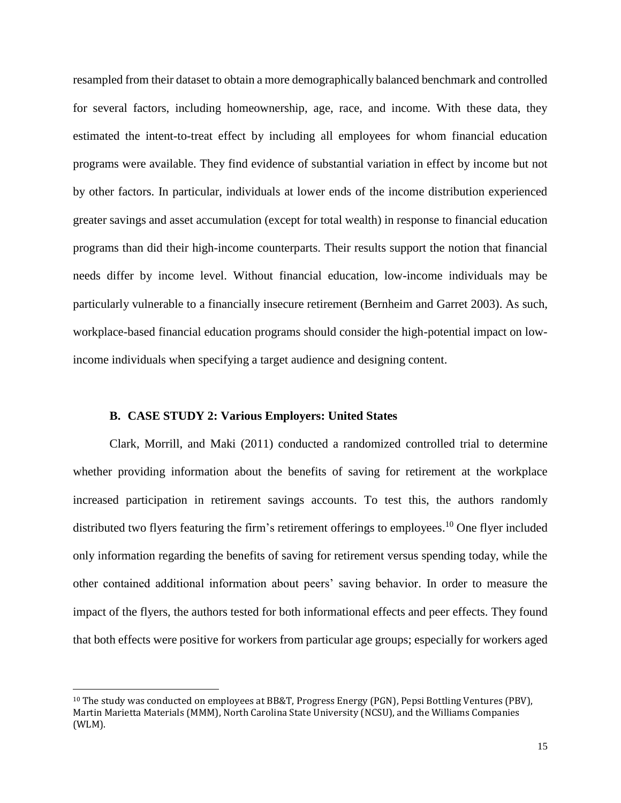resampled from their dataset to obtain a more demographically balanced benchmark and controlled for several factors, including homeownership, age, race, and income. With these data, they estimated the intent-to-treat effect by including all employees for whom financial education programs were available. They find evidence of substantial variation in effect by income but not by other factors. In particular, individuals at lower ends of the income distribution experienced greater savings and asset accumulation (except for total wealth) in response to financial education programs than did their high-income counterparts. Their results support the notion that financial needs differ by income level. Without financial education, low-income individuals may be particularly vulnerable to a financially insecure retirement (Bernheim and Garret 2003). As such, workplace-based financial education programs should consider the high-potential impact on lowincome individuals when specifying a target audience and designing content.

#### **B. CASE STUDY 2: Various Employers: United States**

 $\overline{a}$ 

Clark, Morrill, and Maki (2011) conducted a randomized controlled trial to determine whether providing information about the benefits of saving for retirement at the workplace increased participation in retirement savings accounts. To test this, the authors randomly distributed two flyers featuring the firm's retirement offerings to employees.<sup>10</sup> One flyer included only information regarding the benefits of saving for retirement versus spending today, while the other contained additional information about peers' saving behavior. In order to measure the impact of the flyers, the authors tested for both informational effects and peer effects. They found that both effects were positive for workers from particular age groups; especially for workers aged

<sup>10</sup> The study was conducted on employees at BB&T, Progress Energy (PGN), Pepsi Bottling Ventures (PBV), Martin Marietta Materials (MMM), North Carolina State University (NCSU), and the Williams Companies (WLM).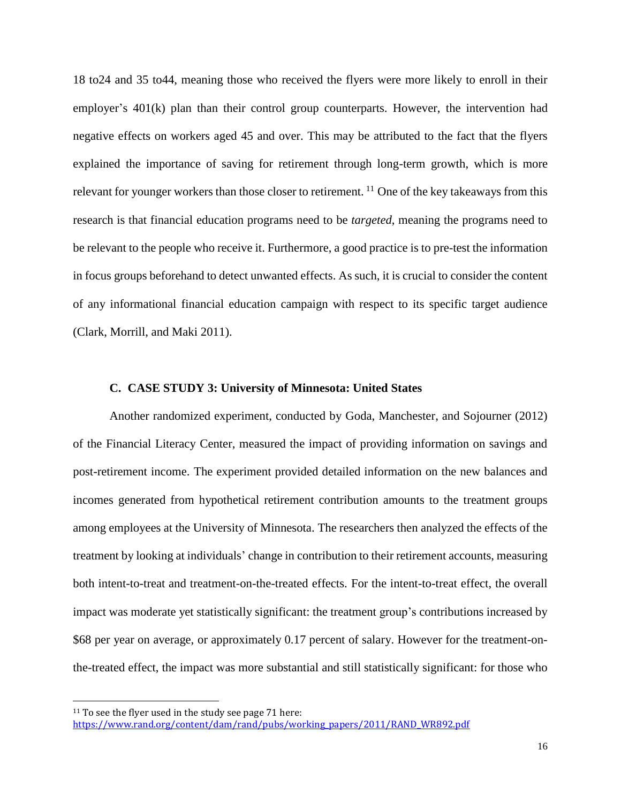18 to24 and 35 to44, meaning those who received the flyers were more likely to enroll in their employer's 401(k) plan than their control group counterparts. However, the intervention had negative effects on workers aged 45 and over. This may be attributed to the fact that the flyers explained the importance of saving for retirement through long-term growth, which is more relevant for younger workers than those closer to retirement.  $^{11}$  One of the key takeaways from this research is that financial education programs need to be *targeted*, meaning the programs need to be relevant to the people who receive it. Furthermore, a good practice is to pre-test the information in focus groups beforehand to detect unwanted effects. As such, it is crucial to consider the content of any informational financial education campaign with respect to its specific target audience (Clark, Morrill, and Maki 2011).

#### **C. CASE STUDY 3: University of Minnesota: United States**

Another randomized experiment, conducted by Goda, Manchester, and Sojourner (2012) of the Financial Literacy Center, measured the impact of providing information on savings and post-retirement income. The experiment provided detailed information on the new balances and incomes generated from hypothetical retirement contribution amounts to the treatment groups among employees at the University of Minnesota. The researchers then analyzed the effects of the treatment by looking at individuals' change in contribution to their retirement accounts, measuring both intent-to-treat and treatment-on-the-treated effects. For the intent-to-treat effect, the overall impact was moderate yet statistically significant: the treatment group's contributions increased by \$68 per year on average, or approximately 0.17 percent of salary. However for the treatment-onthe-treated effect, the impact was more substantial and still statistically significant: for those who

 $\overline{\phantom{a}}$ 

 $11$  To see the flyer used in the study see page 71 here: [https://www.rand.org/content/dam/rand/pubs/working\\_papers/2011/RAND\\_WR892.pdf](https://www.rand.org/content/dam/rand/pubs/working_papers/2011/RAND_WR892.pdf)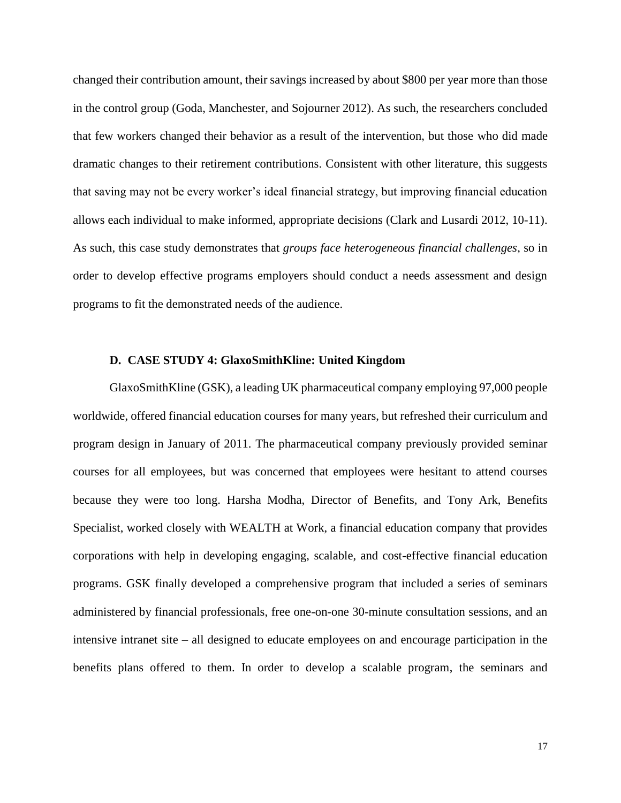changed their contribution amount, their savings increased by about \$800 per year more than those in the control group (Goda, Manchester, and Sojourner 2012). As such, the researchers concluded that few workers changed their behavior as a result of the intervention, but those who did made dramatic changes to their retirement contributions. Consistent with other literature, this suggests that saving may not be every worker's ideal financial strategy, but improving financial education allows each individual to make informed, appropriate decisions (Clark and Lusardi 2012, 10-11). As such, this case study demonstrates that *groups face heterogeneous financial challenges*, so in order to develop effective programs employers should conduct a needs assessment and design programs to fit the demonstrated needs of the audience.

#### **D. CASE STUDY 4: GlaxoSmithKline: United Kingdom**

GlaxoSmithKline (GSK), a leading UK pharmaceutical company employing 97,000 people worldwide, offered financial education courses for many years, but refreshed their curriculum and program design in January of 2011. The pharmaceutical company previously provided seminar courses for all employees, but was concerned that employees were hesitant to attend courses because they were too long. Harsha Modha, Director of Benefits, and Tony Ark, Benefits Specialist, worked closely with WEALTH at Work, a financial education company that provides corporations with help in developing engaging, scalable, and cost-effective financial education programs. GSK finally developed a comprehensive program that included a series of seminars administered by financial professionals, free one-on-one 30-minute consultation sessions, and an intensive intranet site – all designed to educate employees on and encourage participation in the benefits plans offered to them. In order to develop a scalable program, the seminars and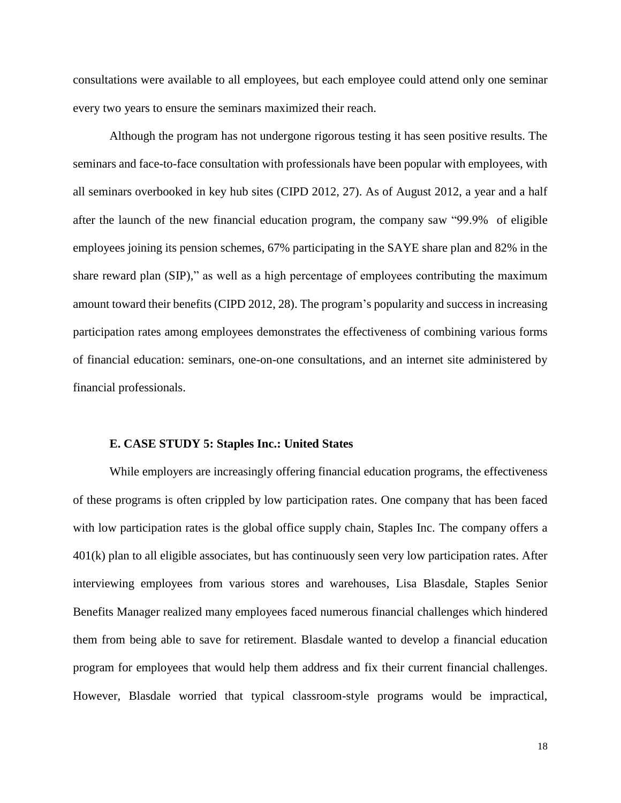consultations were available to all employees, but each employee could attend only one seminar every two years to ensure the seminars maximized their reach.

Although the program has not undergone rigorous testing it has seen positive results. The seminars and face-to-face consultation with professionals have been popular with employees, with all seminars overbooked in key hub sites (CIPD 2012, 27). As of August 2012, a year and a half after the launch of the new financial education program, the company saw "99.9% of eligible employees joining its pension schemes, 67% participating in the SAYE share plan and 82% in the share reward plan (SIP)," as well as a high percentage of employees contributing the maximum amount toward their benefits (CIPD 2012, 28). The program's popularity and success in increasing participation rates among employees demonstrates the effectiveness of combining various forms of financial education: seminars, one-on-one consultations, and an internet site administered by financial professionals.

#### **E. CASE STUDY 5: Staples Inc.: United States**

While employers are increasingly offering financial education programs, the effectiveness of these programs is often crippled by low participation rates. One company that has been faced with low participation rates is the global office supply chain, Staples Inc. The company offers a 401(k) plan to all eligible associates, but has continuously seen very low participation rates. After interviewing employees from various stores and warehouses, Lisa Blasdale, Staples Senior Benefits Manager realized many employees faced numerous financial challenges which hindered them from being able to save for retirement. Blasdale wanted to develop a financial education program for employees that would help them address and fix their current financial challenges. However, Blasdale worried that typical classroom-style programs would be impractical,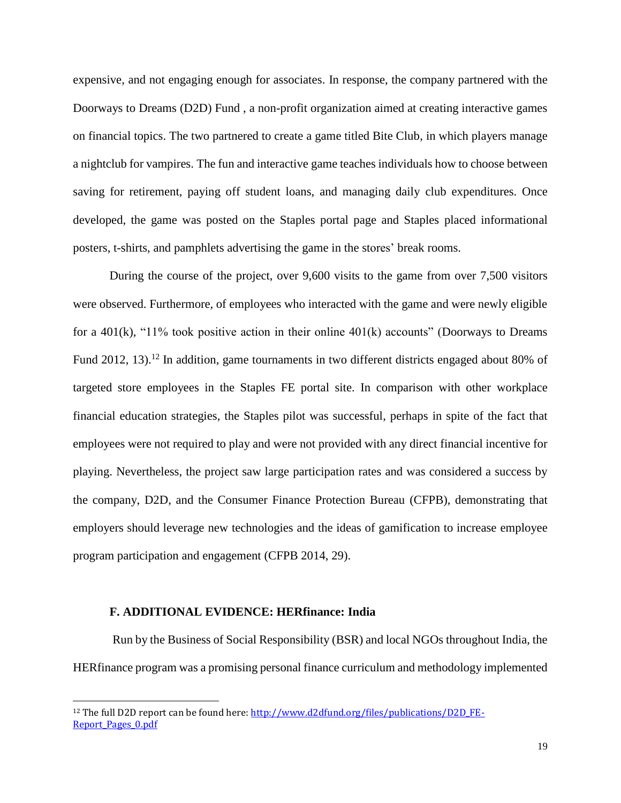expensive, and not engaging enough for associates. In response, the company partnered with the Doorways to Dreams (D2D) Fund , a non-profit organization aimed at creating interactive games on financial topics. The two partnered to create a game titled Bite Club, in which players manage a nightclub for vampires. The fun and interactive game teaches individuals how to choose between saving for retirement, paying off student loans, and managing daily club expenditures. Once developed, the game was posted on the Staples portal page and Staples placed informational posters, t-shirts, and pamphlets advertising the game in the stores' break rooms.

During the course of the project, over 9,600 visits to the game from over 7,500 visitors were observed. Furthermore, of employees who interacted with the game and were newly eligible for a  $401(k)$ , "11% took positive action in their online  $401(k)$  accounts" (Doorways to Dreams Fund 2012, 13).<sup>12</sup> In addition, game tournaments in two different districts engaged about 80% of targeted store employees in the Staples FE portal site. In comparison with other workplace financial education strategies, the Staples pilot was successful, perhaps in spite of the fact that employees were not required to play and were not provided with any direct financial incentive for playing. Nevertheless, the project saw large participation rates and was considered a success by the company, D2D, and the Consumer Finance Protection Bureau (CFPB), demonstrating that employers should leverage new technologies and the ideas of gamification to increase employee program participation and engagement (CFPB 2014, 29).

#### **F. ADDITIONAL EVIDENCE: HERfinance: India**

 $\overline{\phantom{a}}$ 

Run by the Business of Social Responsibility (BSR) and local NGOs throughout India, the HERfinance program was a promising personal finance curriculum and methodology implemented

<sup>&</sup>lt;sup>12</sup> The full D2D report can be found here: [http://www.d2dfund.org/files/publications/D2D\\_FE-](http://www.d2dfund.org/files/publications/D2D_FE-Report_Pages_0.pdf)[Report\\_Pages\\_0.pdf](http://www.d2dfund.org/files/publications/D2D_FE-Report_Pages_0.pdf)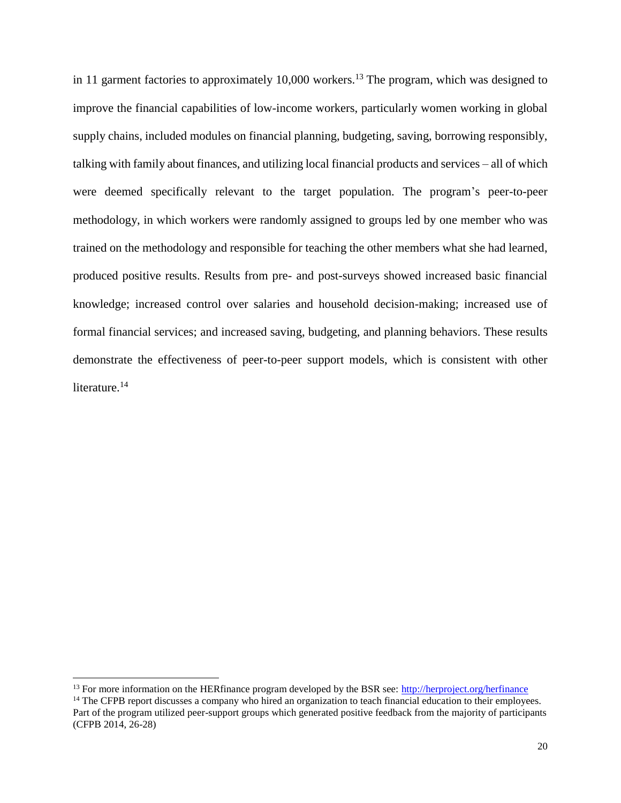in 11 garment factories to approximately 10,000 workers.<sup>13</sup> The program, which was designed to improve the financial capabilities of low-income workers, particularly women working in global supply chains, included modules on financial planning, budgeting, saving, borrowing responsibly, talking with family about finances, and utilizing local financial products and services – all of which were deemed specifically relevant to the target population. The program's peer-to-peer methodology, in which workers were randomly assigned to groups led by one member who was trained on the methodology and responsible for teaching the other members what she had learned, produced positive results. Results from pre- and post-surveys showed increased basic financial knowledge; increased control over salaries and household decision-making; increased use of formal financial services; and increased saving, budgeting, and planning behaviors. These results demonstrate the effectiveness of peer-to-peer support models, which is consistent with other literature.<sup>14</sup>

 $\overline{\phantom{a}}$ 

<sup>&</sup>lt;sup>13</sup> For more information on the HERfinance program developed by the BSR see:<http://herproject.org/herfinance>

<sup>&</sup>lt;sup>14</sup> The CFPB report discusses a company who hired an organization to teach financial education to their employees. Part of the program utilized peer-support groups which generated positive feedback from the majority of participants (CFPB 2014, 26-28)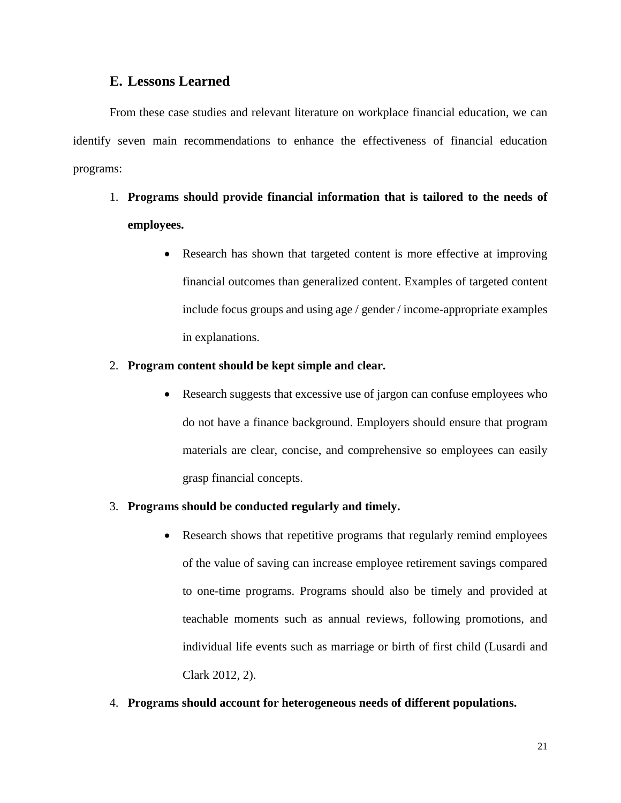# **E. Lessons Learned**

From these case studies and relevant literature on workplace financial education, we can identify seven main recommendations to enhance the effectiveness of financial education programs:

- 1. **Programs should provide financial information that is tailored to the needs of employees.**
	- Research has shown that targeted content is more effective at improving financial outcomes than generalized content. Examples of targeted content include focus groups and using age / gender / income-appropriate examples in explanations.

### 2. **Program content should be kept simple and clear.**

• Research suggests that excessive use of jargon can confuse employees who do not have a finance background. Employers should ensure that program materials are clear, concise, and comprehensive so employees can easily grasp financial concepts.

#### 3. **Programs should be conducted regularly and timely.**

- Research shows that repetitive programs that regularly remind employees of the value of saving can increase employee retirement savings compared to one-time programs. Programs should also be timely and provided at teachable moments such as annual reviews, following promotions, and individual life events such as marriage or birth of first child (Lusardi and Clark 2012, 2).
- 4. **Programs should account for heterogeneous needs of different populations.**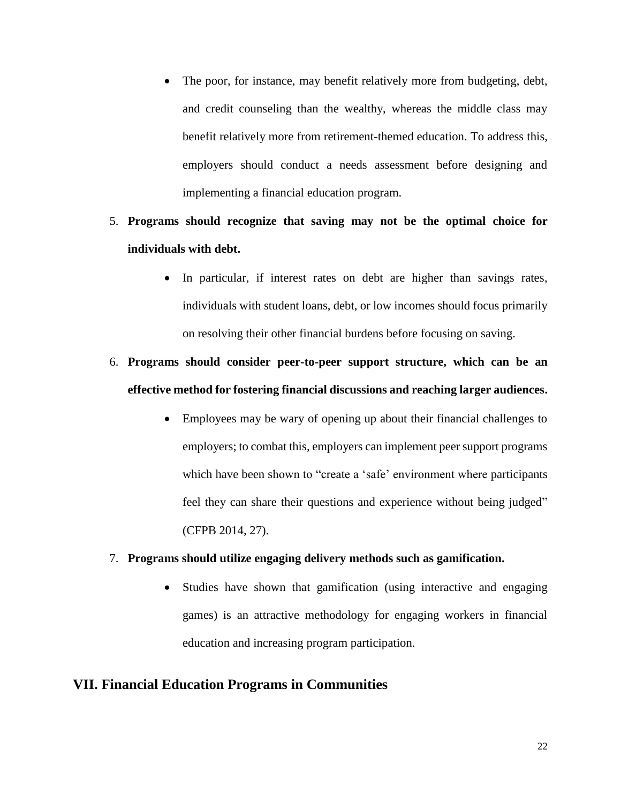- The poor, for instance, may benefit relatively more from budgeting, debt, and credit counseling than the wealthy, whereas the middle class may benefit relatively more from retirement-themed education. To address this, employers should conduct a needs assessment before designing and implementing a financial education program.
- 5. **Programs should recognize that saving may not be the optimal choice for individuals with debt.**
	- In particular, if interest rates on debt are higher than savings rates, individuals with student loans, debt, or low incomes should focus primarily on resolving their other financial burdens before focusing on saving.

# 6. **Programs should consider peer-to-peer support structure, which can be an effective method for fostering financial discussions and reaching larger audiences.**

 Employees may be wary of opening up about their financial challenges to employers; to combat this, employers can implement peer support programs which have been shown to "create a 'safe' environment where participants feel they can share their questions and experience without being judged" (CFPB 2014, 27).

### 7. **Programs should utilize engaging delivery methods such as gamification.**

• Studies have shown that gamification (using interactive and engaging games) is an attractive methodology for engaging workers in financial education and increasing program participation.

# **VII. Financial Education Programs in Communities**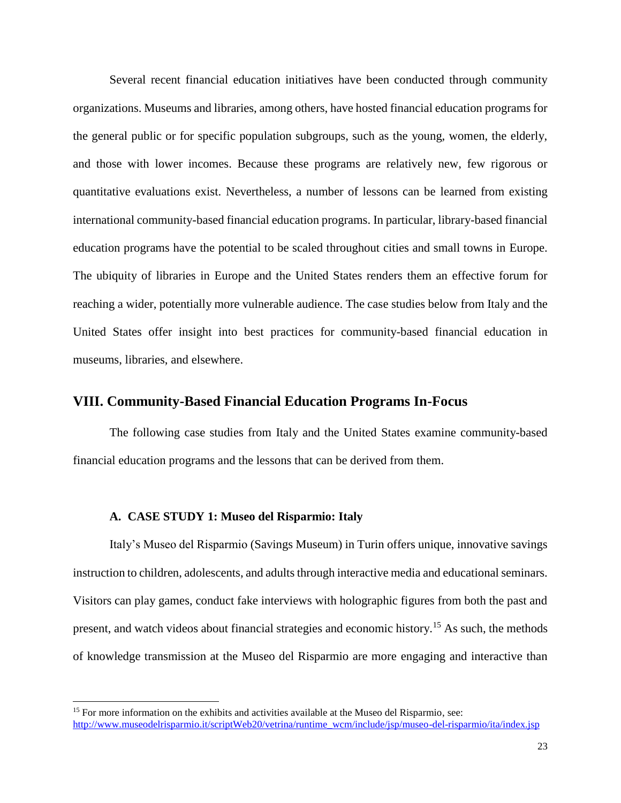Several recent financial education initiatives have been conducted through community organizations. Museums and libraries, among others, have hosted financial education programs for the general public or for specific population subgroups, such as the young, women, the elderly, and those with lower incomes. Because these programs are relatively new, few rigorous or quantitative evaluations exist. Nevertheless, a number of lessons can be learned from existing international community-based financial education programs. In particular, library-based financial education programs have the potential to be scaled throughout cities and small towns in Europe. The ubiquity of libraries in Europe and the United States renders them an effective forum for reaching a wider, potentially more vulnerable audience. The case studies below from Italy and the United States offer insight into best practices for community-based financial education in museums, libraries, and elsewhere.

## **VIII. Community-Based Financial Education Programs In-Focus**

The following case studies from Italy and the United States examine community-based financial education programs and the lessons that can be derived from them.

#### **A. CASE STUDY 1: Museo del Risparmio: Italy**

l

Italy's Museo del Risparmio (Savings Museum) in Turin offers unique, innovative savings instruction to children, adolescents, and adults through interactive media and educational seminars. Visitors can play games, conduct fake interviews with holographic figures from both the past and present, and watch videos about financial strategies and economic history.<sup>15</sup> As such, the methods of knowledge transmission at the Museo del Risparmio are more engaging and interactive than

<sup>&</sup>lt;sup>15</sup> For more information on the exhibits and activities available at the Museo del Risparmio, see: [http://www.museodelrisparmio.it/scriptWeb20/vetrina/runtime\\_wcm/include/jsp/museo-del-risparmio/ita/index.jsp](http://www.museodelrisparmio.it/scriptWeb20/vetrina/runtime_wcm/include/jsp/museo-del-risparmio/ita/index.jsp)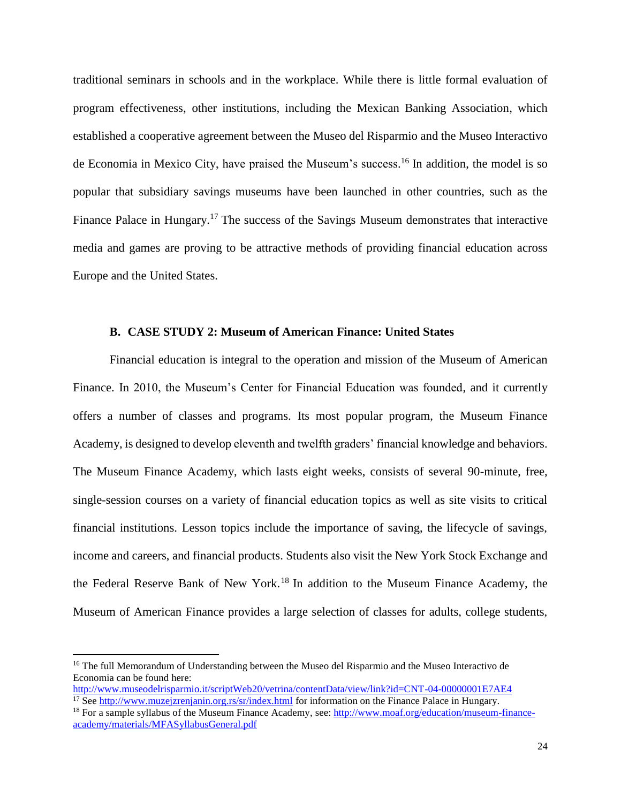traditional seminars in schools and in the workplace. While there is little formal evaluation of program effectiveness, other institutions, including the Mexican Banking Association, which established a cooperative agreement between the Museo del Risparmio and the Museo Interactivo de Economia in Mexico City, have praised the Museum's success. <sup>16</sup> In addition, the model is so popular that subsidiary savings museums have been launched in other countries, such as the Finance Palace in Hungary.<sup>17</sup> The success of the Savings Museum demonstrates that interactive media and games are proving to be attractive methods of providing financial education across Europe and the United States.

### **B. CASE STUDY 2: Museum of American Finance: United States**

Financial education is integral to the operation and mission of the Museum of American Finance. In 2010, the Museum's Center for Financial Education was founded, and it currently offers a number of classes and programs. Its most popular program, the Museum Finance Academy, is designed to develop eleventh and twelfth graders' financial knowledge and behaviors. The Museum Finance Academy, which lasts eight weeks, consists of several 90-minute, free, single-session courses on a variety of financial education topics as well as site visits to critical financial institutions. Lesson topics include the importance of saving, the lifecycle of savings, income and careers, and financial products. Students also visit the New York Stock Exchange and the Federal Reserve Bank of New York.<sup>18</sup> In addition to the Museum Finance Academy, the Museum of American Finance provides a large selection of classes for adults, college students,

 $\overline{\phantom{a}}$ 

<sup>&</sup>lt;sup>16</sup> The full Memorandum of Understanding between the Museo del Risparmio and the Museo Interactivo de Economia can be found here:

<http://www.museodelrisparmio.it/scriptWeb20/vetrina/contentData/view/link?id=CNT-04-00000001E7AE4> <sup>17</sup> See<http://www.muzejzrenjanin.org.rs/sr/index.html> for information on the Finance Palace in Hungary.

<sup>&</sup>lt;sup>18</sup> For a sample syllabus of the Museum Finance Academy, see:  $\frac{http://www.moaf.org/education/museum-finance$ [academy/materials/MFASyllabusGeneral.pdf](http://www.moaf.org/education/museum-finance-academy/materials/MFASyllabusGeneral.pdf)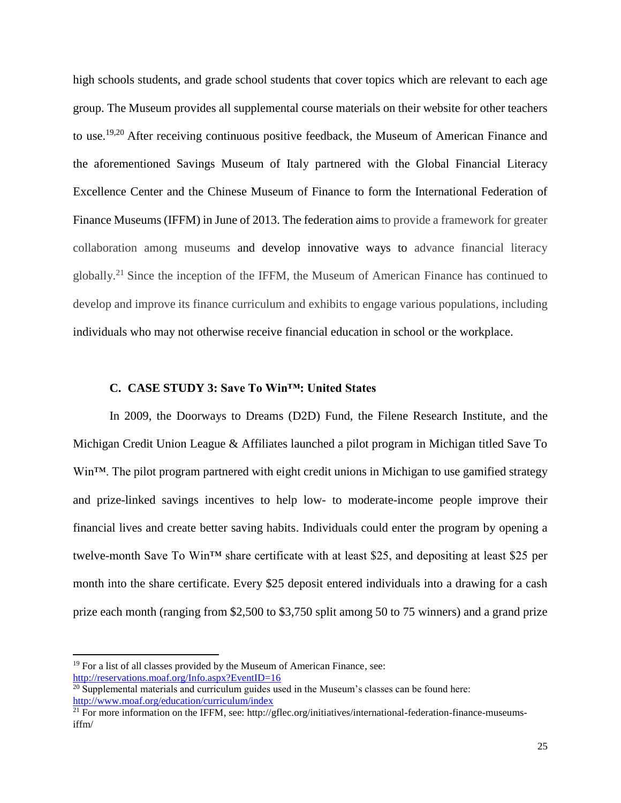high schools students, and grade school students that cover topics which are relevant to each age group. The Museum provides all supplemental course materials on their website for other teachers to use.19,20 After receiving continuous positive feedback, the Museum of American Finance and the aforementioned Savings Museum of Italy partnered with the Global Financial Literacy Excellence Center and the Chinese Museum of Finance to form the International Federation of Finance Museums (IFFM) in June of 2013. The federation aims to provide a framework for greater collaboration among museums and develop innovative ways to advance financial literacy globally.<sup>21</sup> Since the inception of the IFFM, the Museum of American Finance has continued to develop and improve its finance curriculum and exhibits to engage various populations, including individuals who may not otherwise receive financial education in school or the workplace.

#### **C. CASE STUDY 3: Save To Win™: United States**

In 2009, the Doorways to Dreams (D2D) Fund, the Filene Research Institute, and the Michigan Credit Union League & Affiliates launched a pilot program in Michigan titled Save To Win<sup>™</sup>. The pilot program partnered with eight credit unions in Michigan to use gamified strategy and prize-linked savings incentives to help low- to moderate-income people improve their financial lives and create better saving habits. Individuals could enter the program by opening a twelve-month Save To Win™ share certificate with at least \$25, and depositing at least \$25 per month into the share certificate. Every \$25 deposit entered individuals into a drawing for a cash prize each month (ranging from \$2,500 to \$3,750 split among 50 to 75 winners) and a grand prize

 $\overline{\phantom{a}}$ 

 $19$  For a list of all classes provided by the Museum of American Finance, see: <http://reservations.moaf.org/Info.aspx?EventID=16>

 $20$  Supplemental materials and curriculum guides used in the Museum's classes can be found here: <http://www.moaf.org/education/curriculum/index>

<sup>&</sup>lt;sup>21</sup> For more information on the IFFM, see: http://gflec.org/initiatives/international-federation-finance-museumsiffm/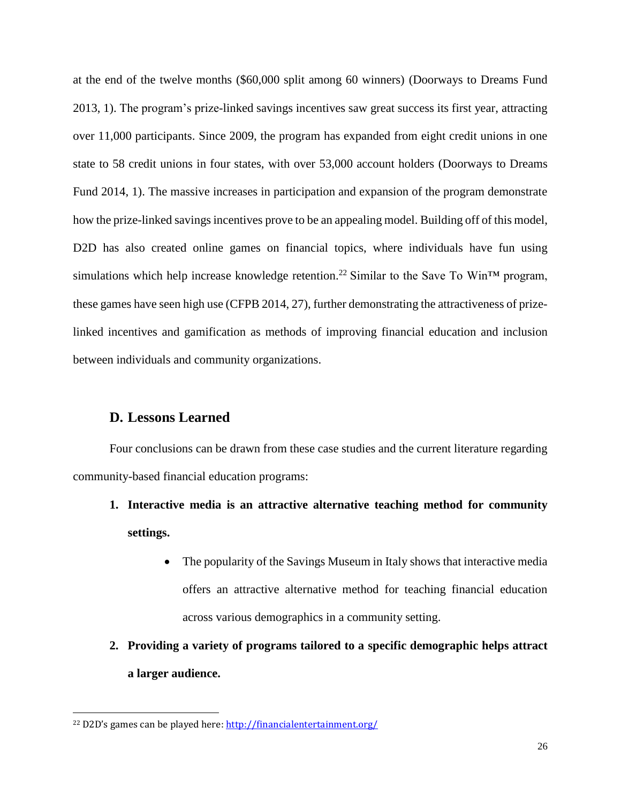at the end of the twelve months (\$60,000 split among 60 winners) (Doorways to Dreams Fund 2013, 1). The program's prize-linked savings incentives saw great success its first year, attracting over 11,000 participants. Since 2009, the program has expanded from eight credit unions in one state to 58 credit unions in four states, with over 53,000 account holders (Doorways to Dreams Fund 2014, 1). The massive increases in participation and expansion of the program demonstrate how the prize-linked savings incentives prove to be an appealing model. Building off of this model, D2D has also created online games on financial topics, where individuals have fun using simulations which help increase knowledge retention.<sup>22</sup> Similar to the Save To Win<sup>TM</sup> program, these games have seen high use (CFPB 2014, 27), further demonstrating the attractiveness of prizelinked incentives and gamification as methods of improving financial education and inclusion between individuals and community organizations.

### **D. Lessons Learned**

l

Four conclusions can be drawn from these case studies and the current literature regarding community-based financial education programs:

- **1. Interactive media is an attractive alternative teaching method for community settings.**
	- The popularity of the Savings Museum in Italy shows that interactive media offers an attractive alternative method for teaching financial education across various demographics in a community setting.
- **2. Providing a variety of programs tailored to a specific demographic helps attract a larger audience.**

<sup>22</sup> D2D's games can be played here:<http://financialentertainment.org/>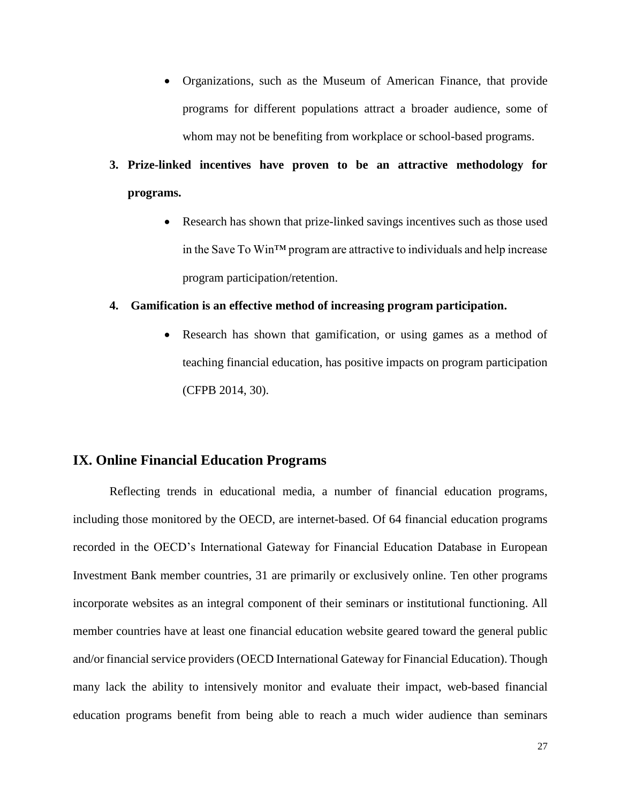- Organizations, such as the Museum of American Finance, that provide programs for different populations attract a broader audience, some of whom may not be benefiting from workplace or school-based programs.
- **3. Prize-linked incentives have proven to be an attractive methodology for programs.**
	- Research has shown that prize-linked savings incentives such as those used in the Save To Win™ program are attractive to individuals and help increase program participation/retention.

#### **4. Gamification is an effective method of increasing program participation.**

• Research has shown that gamification, or using games as a method of teaching financial education, has positive impacts on program participation (CFPB 2014, 30).

# **IX. Online Financial Education Programs**

Reflecting trends in educational media, a number of financial education programs, including those monitored by the OECD, are internet-based. Of 64 financial education programs recorded in the OECD's International Gateway for Financial Education Database in European Investment Bank member countries, 31 are primarily or exclusively online. Ten other programs incorporate websites as an integral component of their seminars or institutional functioning. All member countries have at least one financial education website geared toward the general public and/or financial service providers (OECD International Gateway for Financial Education). Though many lack the ability to intensively monitor and evaluate their impact, web-based financial education programs benefit from being able to reach a much wider audience than seminars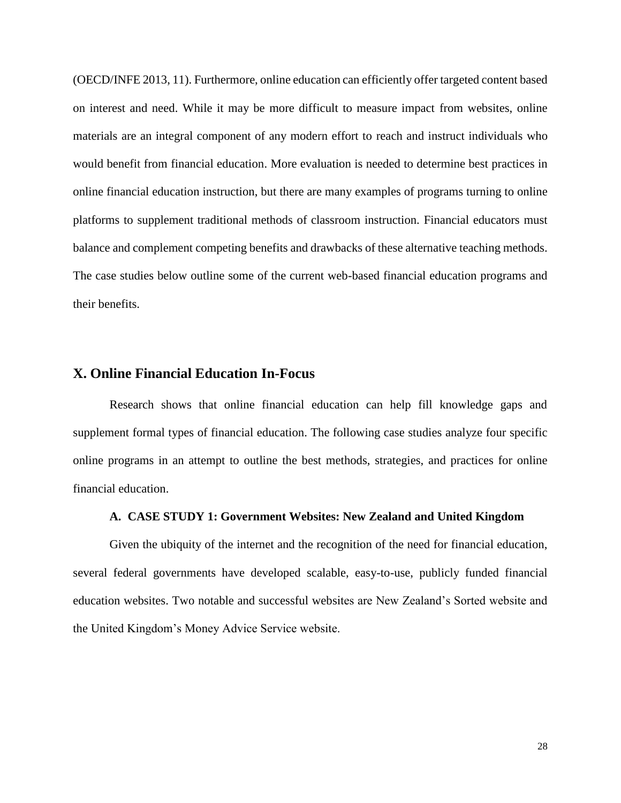(OECD/INFE 2013, 11). Furthermore, online education can efficiently offer targeted content based on interest and need. While it may be more difficult to measure impact from websites, online materials are an integral component of any modern effort to reach and instruct individuals who would benefit from financial education. More evaluation is needed to determine best practices in online financial education instruction, but there are many examples of programs turning to online platforms to supplement traditional methods of classroom instruction. Financial educators must balance and complement competing benefits and drawbacks of these alternative teaching methods. The case studies below outline some of the current web-based financial education programs and their benefits.

### **X. Online Financial Education In-Focus**

Research shows that online financial education can help fill knowledge gaps and supplement formal types of financial education. The following case studies analyze four specific online programs in an attempt to outline the best methods, strategies, and practices for online financial education.

#### **A. CASE STUDY 1: Government Websites: New Zealand and United Kingdom**

Given the ubiquity of the internet and the recognition of the need for financial education, several federal governments have developed scalable, easy-to-use, publicly funded financial education websites. Two notable and successful websites are New Zealand's Sorted website and the United Kingdom's Money Advice Service website.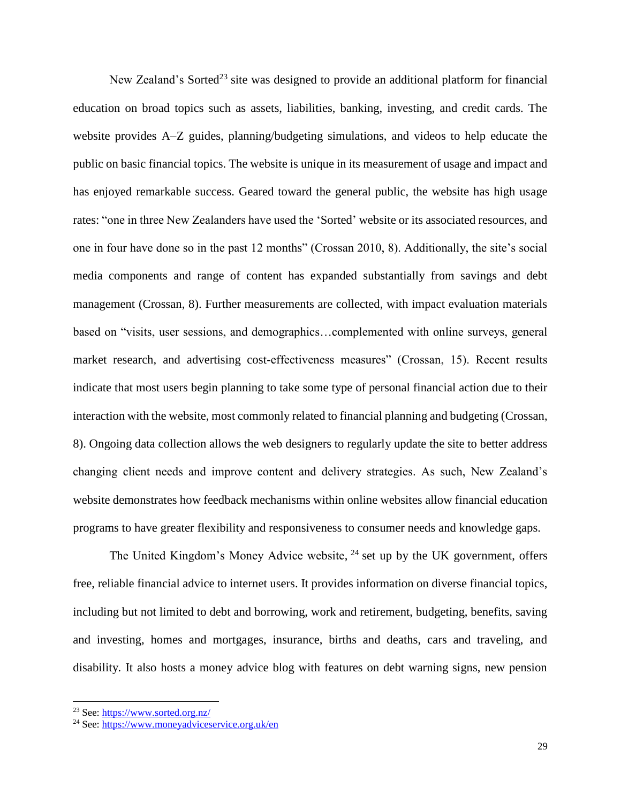New Zealand's Sorted<sup>23</sup> site was designed to provide an additional platform for financial education on broad topics such as assets, liabilities, banking, investing, and credit cards. The website provides A–Z guides, planning/budgeting simulations, and videos to help educate the public on basic financial topics. The website is unique in its measurement of usage and impact and has enjoyed remarkable success. Geared toward the general public, the website has high usage rates: "one in three New Zealanders have used the 'Sorted' website or its associated resources, and one in four have done so in the past 12 months" (Crossan 2010, 8). Additionally, the site's social media components and range of content has expanded substantially from savings and debt management (Crossan, 8). Further measurements are collected, with impact evaluation materials based on "visits, user sessions, and demographics…complemented with online surveys, general market research, and advertising cost-effectiveness measures" (Crossan, 15). Recent results indicate that most users begin planning to take some type of personal financial action due to their interaction with the website, most commonly related to financial planning and budgeting (Crossan, 8). Ongoing data collection allows the web designers to regularly update the site to better address changing client needs and improve content and delivery strategies. As such, New Zealand's website demonstrates how feedback mechanisms within online websites allow financial education programs to have greater flexibility and responsiveness to consumer needs and knowledge gaps.

The United Kingdom's Money Advice website,  $24$  set up by the UK government, offers free, reliable financial advice to internet users. It provides information on diverse financial topics, including but not limited to debt and borrowing, work and retirement, budgeting, benefits, saving and investing, homes and mortgages, insurance, births and deaths, cars and traveling, and disability. It also hosts a money advice blog with features on debt warning signs, new pension

l

<sup>&</sup>lt;sup>23</sup> See[: https://www.sorted.org.nz/](https://www.sorted.org.nz/)

<sup>24</sup> See[: https://www.moneyadviceservice.org.uk/en](https://www.moneyadviceservice.org.uk/en)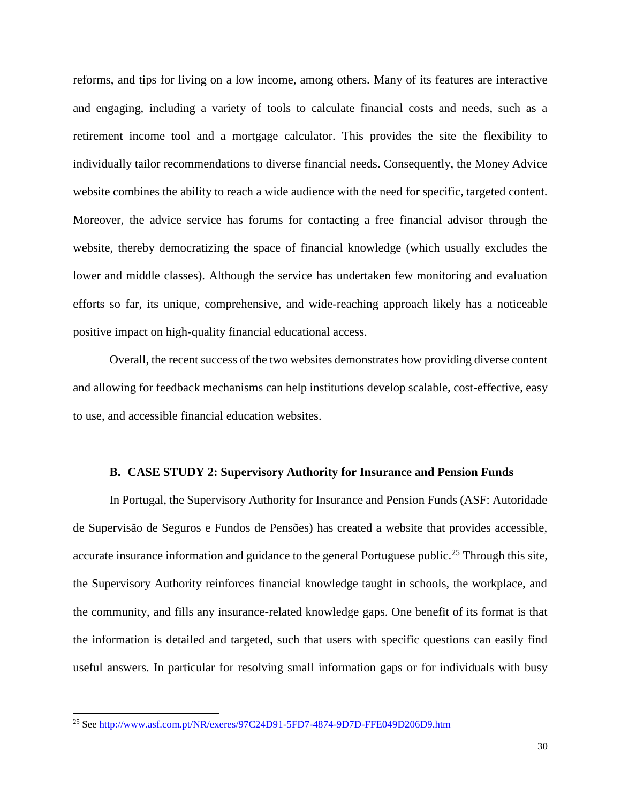reforms, and tips for living on a low income, among others. Many of its features are interactive and engaging, including a variety of tools to calculate financial costs and needs, such as a retirement income tool and a mortgage calculator. This provides the site the flexibility to individually tailor recommendations to diverse financial needs. Consequently, the Money Advice website combines the ability to reach a wide audience with the need for specific, targeted content. Moreover, the advice service has forums for contacting a free financial advisor through the website, thereby democratizing the space of financial knowledge (which usually excludes the lower and middle classes). Although the service has undertaken few monitoring and evaluation efforts so far, its unique, comprehensive, and wide-reaching approach likely has a noticeable positive impact on high-quality financial educational access.

Overall, the recent success of the two websites demonstrates how providing diverse content and allowing for feedback mechanisms can help institutions develop scalable, cost-effective, easy to use, and accessible financial education websites.

#### **B. CASE STUDY 2: Supervisory Authority for Insurance and Pension Funds**

In Portugal, the Supervisory Authority for Insurance and Pension Funds (ASF: Autoridade de Supervisão de Seguros e Fundos de Pensões) has created a website that provides accessible, accurate insurance information and guidance to the general Portuguese public.<sup>25</sup> Through this site, the Supervisory Authority reinforces financial knowledge taught in schools, the workplace, and the community, and fills any insurance-related knowledge gaps. One benefit of its format is that the information is detailed and targeted, such that users with specific questions can easily find useful answers. In particular for resolving small information gaps or for individuals with busy

 $\overline{\phantom{a}}$ 

<sup>&</sup>lt;sup>25</sup> See<http://www.asf.com.pt/NR/exeres/97C24D91-5FD7-4874-9D7D-FFE049D206D9.htm>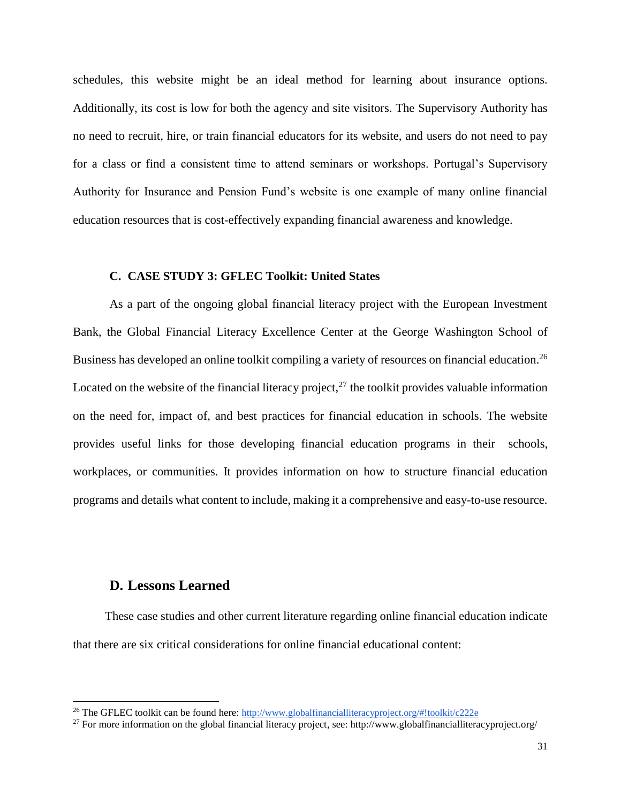schedules, this website might be an ideal method for learning about insurance options. Additionally, its cost is low for both the agency and site visitors. The Supervisory Authority has no need to recruit, hire, or train financial educators for its website, and users do not need to pay for a class or find a consistent time to attend seminars or workshops. Portugal's Supervisory Authority for Insurance and Pension Fund's website is one example of many online financial education resources that is cost-effectively expanding financial awareness and knowledge.

#### **C. CASE STUDY 3: GFLEC Toolkit: United States**

As a part of the ongoing global financial literacy project with the European Investment Bank, the Global Financial Literacy Excellence Center at the George Washington School of Business has developed an online toolkit compiling a variety of resources on financial education.<sup>26</sup> Located on the website of the financial literacy project, $^{27}$  the toolkit provides valuable information on the need for, impact of, and best practices for financial education in schools. The website provides useful links for those developing financial education programs in their schools, workplaces, or communities. It provides information on how to structure financial education programs and details what content to include, making it a comprehensive and easy-to-use resource.

# **D. Lessons Learned**

l

These case studies and other current literature regarding online financial education indicate that there are six critical considerations for online financial educational content:

<sup>&</sup>lt;sup>26</sup> The GFLEC toolkit can be found here: <http://www.globalfinancialliteracyproject.org/#!toolkit/c222e>

<sup>&</sup>lt;sup>27</sup> For more information on the global financial literacy project, see: http://www.globalfinancialliteracyproject.org/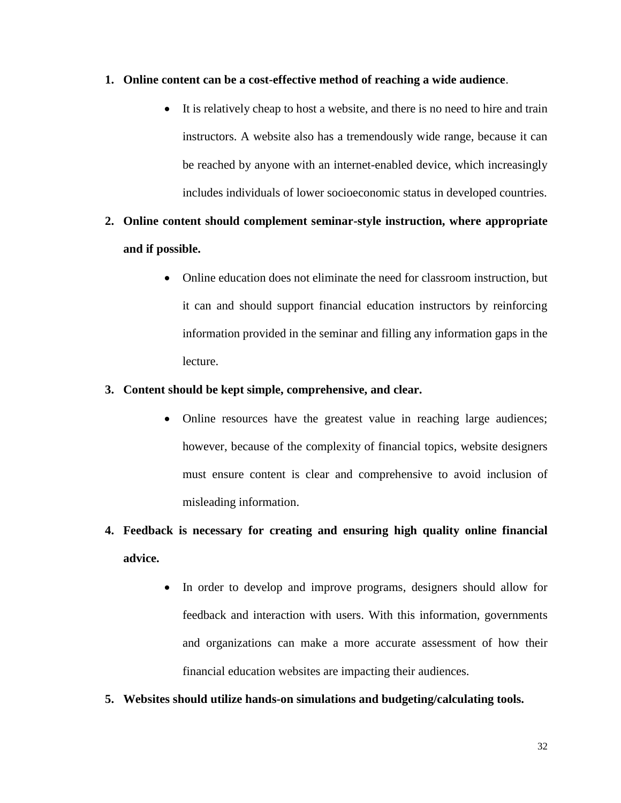### **1. Online content can be a cost-effective method of reaching a wide audience**.

 It is relatively cheap to host a website, and there is no need to hire and train instructors. A website also has a tremendously wide range, because it can be reached by anyone with an internet-enabled device, which increasingly includes individuals of lower socioeconomic status in developed countries.

# **2. Online content should complement seminar-style instruction, where appropriate and if possible.**

 Online education does not eliminate the need for classroom instruction, but it can and should support financial education instructors by reinforcing information provided in the seminar and filling any information gaps in the lecture.

### **3. Content should be kept simple, comprehensive, and clear.**

• Online resources have the greatest value in reaching large audiences; however, because of the complexity of financial topics, website designers must ensure content is clear and comprehensive to avoid inclusion of misleading information.

# **4. Feedback is necessary for creating and ensuring high quality online financial advice.**

- In order to develop and improve programs, designers should allow for feedback and interaction with users. With this information, governments and organizations can make a more accurate assessment of how their financial education websites are impacting their audiences.
- **5. Websites should utilize hands-on simulations and budgeting/calculating tools.**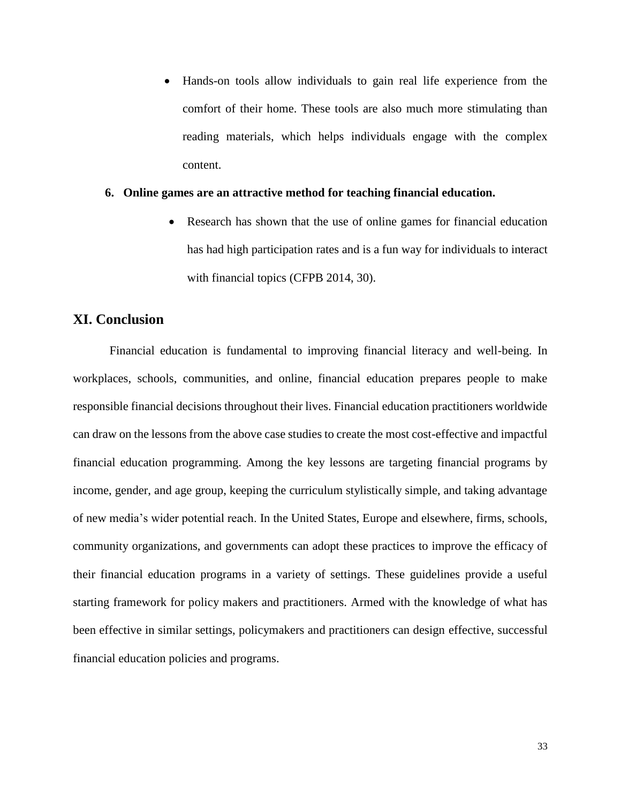Hands-on tools allow individuals to gain real life experience from the comfort of their home. These tools are also much more stimulating than reading materials, which helps individuals engage with the complex content.

#### **6. Online games are an attractive method for teaching financial education.**

 Research has shown that the use of online games for financial education has had high participation rates and is a fun way for individuals to interact with financial topics (CFPB 2014, 30).

### **XI. Conclusion**

Financial education is fundamental to improving financial literacy and well-being. In workplaces, schools, communities, and online, financial education prepares people to make responsible financial decisions throughout their lives. Financial education practitioners worldwide can draw on the lessons from the above case studies to create the most cost-effective and impactful financial education programming. Among the key lessons are targeting financial programs by income, gender, and age group, keeping the curriculum stylistically simple, and taking advantage of new media's wider potential reach. In the United States, Europe and elsewhere, firms, schools, community organizations, and governments can adopt these practices to improve the efficacy of their financial education programs in a variety of settings. These guidelines provide a useful starting framework for policy makers and practitioners. Armed with the knowledge of what has been effective in similar settings, policymakers and practitioners can design effective, successful financial education policies and programs.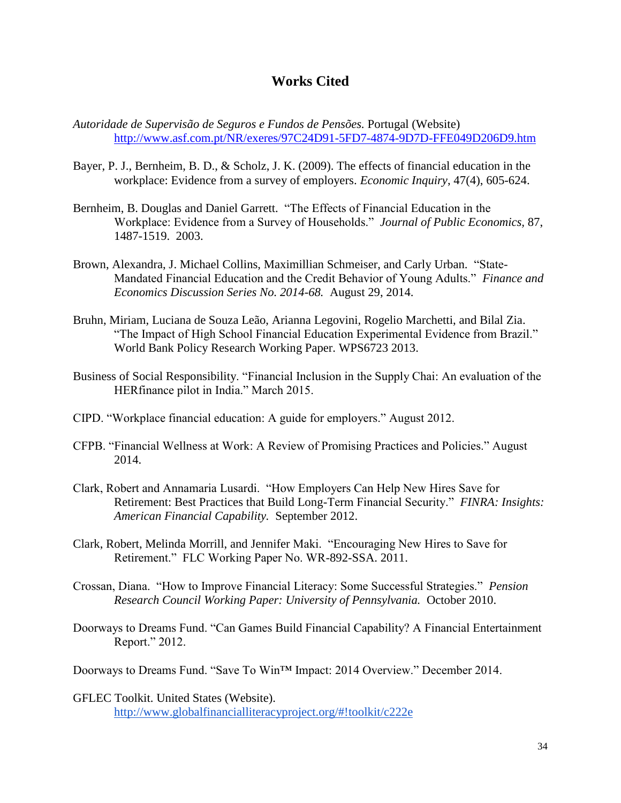# **Works Cited**

- *Autoridade de Supervisão de Seguros e Fundos de Pensões.* Portugal (Website) <http://www.asf.com.pt/NR/exeres/97C24D91-5FD7-4874-9D7D-FFE049D206D9.htm>
- Bayer, P. J., Bernheim, B. D., & Scholz, J. K. (2009). The effects of financial education in the workplace: Evidence from a survey of employers. *Economic Inquiry*, 47(4), 605-624.
- Bernheim, B. Douglas and Daniel Garrett. "The Effects of Financial Education in the Workplace: Evidence from a Survey of Households." *Journal of Public Economics,* 87, 1487-1519. 2003.
- Brown, Alexandra, J. Michael Collins, Maximillian Schmeiser, and Carly Urban. "State-Mandated Financial Education and the Credit Behavior of Young Adults." *Finance and Economics Discussion Series No. 2014-68.* August 29, 2014.
- Bruhn, Miriam, Luciana de Souza Leão, Arianna Legovini, Rogelio Marchetti, and Bilal Zia. "The Impact of High School Financial Education Experimental Evidence from Brazil." World Bank Policy Research Working Paper. WPS6723 2013.
- Business of Social Responsibility. "Financial Inclusion in the Supply Chai: An evaluation of the HERfinance pilot in India." March 2015.
- CIPD. "Workplace financial education: A guide for employers." August 2012.
- CFPB. "Financial Wellness at Work: A Review of Promising Practices and Policies." August 2014.
- Clark, Robert and Annamaria Lusardi. "How Employers Can Help New Hires Save for Retirement: Best Practices that Build Long-Term Financial Security." *FINRA: Insights: American Financial Capability.* September 2012.
- Clark, Robert, Melinda Morrill, and Jennifer Maki. "Encouraging New Hires to Save for Retirement." FLC Working Paper No. WR-892-SSA. 2011.
- Crossan, Diana. "How to Improve Financial Literacy: Some Successful Strategies." *Pension Research Council Working Paper: University of Pennsylvania.* October 2010.

Doorways to Dreams Fund. "Can Games Build Financial Capability? A Financial Entertainment Report." 2012.

Doorways to Dreams Fund. "Save To Win™ Impact: 2014 Overview." December 2014.

GFLEC Toolkit. United States (Website). <http://www.globalfinancialliteracyproject.org/#!toolkit/c222e>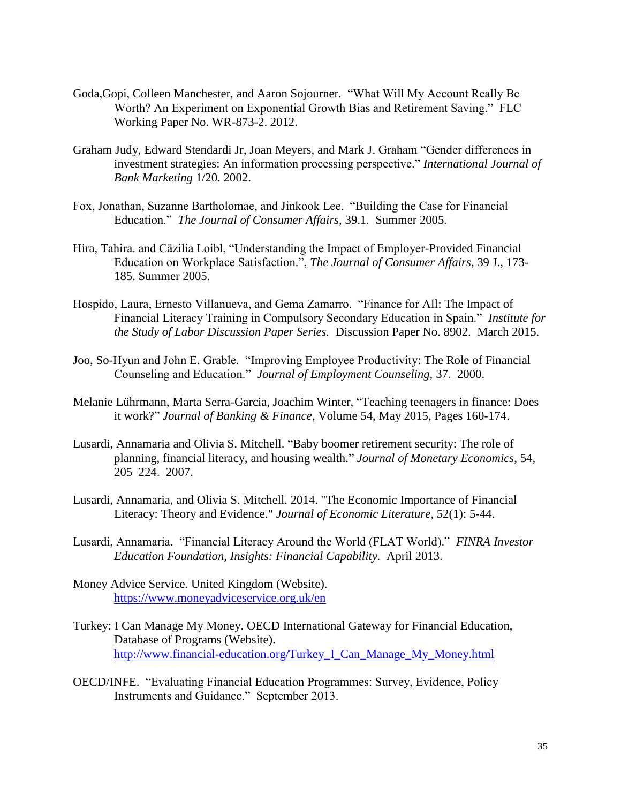- Goda,Gopi, Colleen Manchester, and Aaron Sojourner. "What Will My Account Really Be Worth? An Experiment on Exponential Growth Bias and Retirement Saving." FLC Working Paper No. WR-873-2. 2012.
- Graham Judy, Edward Stendardi Jr, Joan Meyers, and Mark J. Graham "Gender differences in investment strategies: An information processing perspective." *International Journal of Bank Marketing* 1/20. 2002.
- Fox, Jonathan, Suzanne Bartholomae, and Jinkook Lee. "Building the Case for Financial Education." *The Journal of Consumer Affairs,* 39.1. Summer 2005.
- Hira, Tahira. and Cäzilia Loibl, "Understanding the Impact of Employer-Provided Financial Education on Workplace Satisfaction.", *The Journal of Consumer Affairs*, 39 J., 173- 185. Summer 2005.
- Hospido, Laura, Ernesto Villanueva, and Gema Zamarro. "Finance for All: The Impact of Financial Literacy Training in Compulsory Secondary Education in Spain." *Institute for the Study of Labor Discussion Paper Series.* Discussion Paper No. 8902. March 2015.
- Joo, So-Hyun and John E. Grable. "Improving Employee Productivity: The Role of Financial Counseling and Education." *Journal of Employment Counseling,* 37. 2000.
- Melanie Lührmann, Marta Serra-Garcia, Joachim Winter, "Teaching teenagers in finance: Does it work?" *Journal of Banking & Finance*, Volume 54, May 2015, Pages 160-174.
- Lusardi, Annamaria and Olivia S. Mitchell. "Baby boomer retirement security: The role of planning, financial literacy, and housing wealth." *Journal of Monetary Economics*, 54, 205–224. 2007.
- Lusardi, Annamaria, and Olivia S. Mitchell. 2014. "The Economic Importance of Financial Literacy: Theory and Evidence." *Journal of Economic Literature*, 52(1): 5-44.
- Lusardi, Annamaria. "Financial Literacy Around the World (FLAT World)." *FINRA Investor Education Foundation, Insights: Financial Capability.* April 2013.
- Money Advice Service. United Kingdom (Website). <https://www.moneyadviceservice.org.uk/en>
- Turkey: I Can Manage My Money. OECD International Gateway for Financial Education, Database of Programs (Website). [http://www.financial-education.org/Turkey\\_I\\_Can\\_Manage\\_My\\_Money.html](http://www.financial-education.org/Turkey_I_Can_Manage_My_Money.html)
- OECD/INFE. "Evaluating Financial Education Programmes: Survey, Evidence, Policy Instruments and Guidance." September 2013.